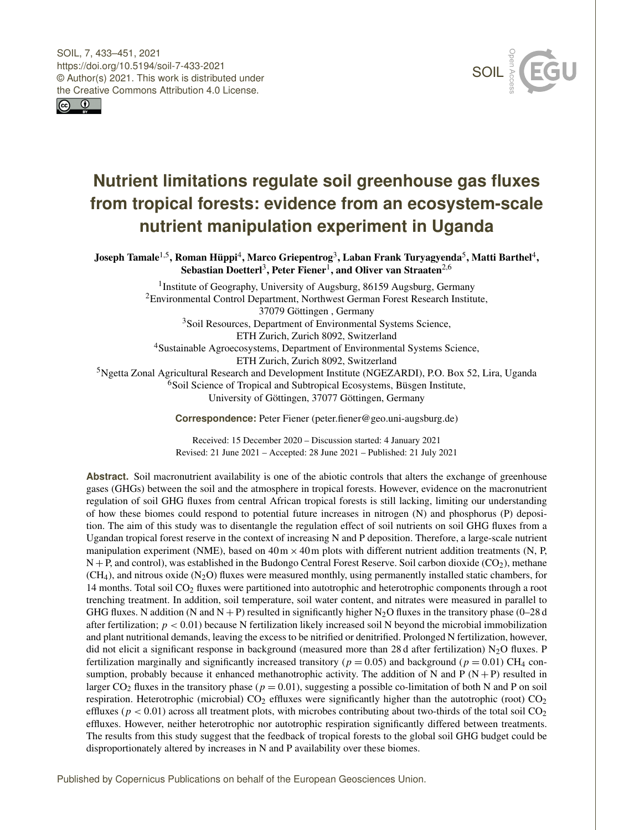SOIL, 7, 433–451, 2021 https://doi.org/10.5194/soil-7-433-2021 © Author(s) 2021. This work is distributed under the Creative Commons Attribution 4.0 License.





# **Nutrient limitations regulate soil greenhouse gas fluxes from tropical forests: evidence from an ecosystem-scale nutrient manipulation experiment in Uganda**

Joseph Tamale $^{1,5}$  $^{1,5}$  $^{1,5}$ , Roman Hüppi $^{4}$  $^{4}$  $^{4}$ , Marco Griepentrog $^{3}$  $^{3}$  $^{3}$ , Laban Frank Turyagyenda $^{5}$  $^{5}$  $^{5}$ , Matti Barthel $^{4}$ , Sebastian Doetterl<sup>[3](#page-0-0)</sup>, Peter Fiener<sup>[1](#page-0-0)</sup>, and Oliver van Straaten<sup>[2,6](#page-0-0)</sup>

<sup>1</sup> Institute of Geography, University of Augsburg, 86159 Augsburg, Germany <sup>2</sup>Environmental Control Department, Northwest German Forest Research Institute, 37079 Göttingen , Germany <sup>3</sup>Soil Resources, Department of Environmental Systems Science, ETH Zurich, Zurich 8092, Switzerland <sup>4</sup>Sustainable Agroecosystems, Department of Environmental Systems Science, ETH Zurich, Zurich 8092, Switzerland <sup>5</sup>Ngetta Zonal Agricultural Research and Development Institute (NGEZARDI), P.O. Box 52, Lira, Uganda <sup>6</sup>Soil Science of Tropical and Subtropical Ecosystems, Büsgen Institute, University of Göttingen, 37077 Göttingen, Germany

**Correspondence:** Peter Fiener (peter.fiener@geo.uni-augsburg.de)

Received: 15 December 2020 – Discussion started: 4 January 2021 Revised: 21 June 2021 – Accepted: 28 June 2021 – Published: 21 July 2021

<span id="page-0-0"></span>**Abstract.** Soil macronutrient availability is one of the abiotic controls that alters the exchange of greenhouse gases (GHGs) between the soil and the atmosphere in tropical forests. However, evidence on the macronutrient regulation of soil GHG fluxes from central African tropical forests is still lacking, limiting our understanding of how these biomes could respond to potential future increases in nitrogen (N) and phosphorus (P) deposition. The aim of this study was to disentangle the regulation effect of soil nutrients on soil GHG fluxes from a Ugandan tropical forest reserve in the context of increasing N and P deposition. Therefore, a large-scale nutrient manipulation experiment (NME), based on  $40 \text{ m} \times 40 \text{ m}$  plots with different nutrient addition treatments (N, P,  $N + P$ , and control), was established in the Budongo Central Forest Reserve. Soil carbon dioxide (CO<sub>2</sub>), methane  $(CH<sub>4</sub>)$ , and nitrous oxide  $(N<sub>2</sub>O)$  fluxes were measured monthly, using permanently installed static chambers, for 14 months. Total soil CO<sup>2</sup> fluxes were partitioned into autotrophic and heterotrophic components through a root trenching treatment. In addition, soil temperature, soil water content, and nitrates were measured in parallel to GHG fluxes. N addition (N and N + P) resulted in significantly higher N<sub>2</sub>O fluxes in the transitory phase (0–28 d) after fertilization;  $p < 0.01$ ) because N fertilization likely increased soil N beyond the microbial immobilization and plant nutritional demands, leaving the excess to be nitrified or denitrified. Prolonged N fertilization, however, did not elicit a significant response in background (measured more than 28 d after fertilization)  $N_2O$  fluxes. P fertilization marginally and significantly increased transitory ( $p = 0.05$ ) and background ( $p = 0.01$ ) CH<sub>4</sub> consumption, probably because it enhanced methanotrophic activity. The addition of N and P  $(N + P)$  resulted in larger  $CO<sub>2</sub>$  fluxes in the transitory phase ( $p = 0.01$ ), suggesting a possible co-limitation of both N and P on soil respiration. Heterotrophic (microbial)  $CO<sub>2</sub>$  effluxes were significantly higher than the autotrophic (root)  $CO<sub>2</sub>$ effluxes ( $p < 0.01$ ) across all treatment plots, with microbes contributing about two-thirds of the total soil  $CO<sub>2</sub>$ effluxes. However, neither heterotrophic nor autotrophic respiration significantly differed between treatments. The results from this study suggest that the feedback of tropical forests to the global soil GHG budget could be disproportionately altered by increases in N and P availability over these biomes.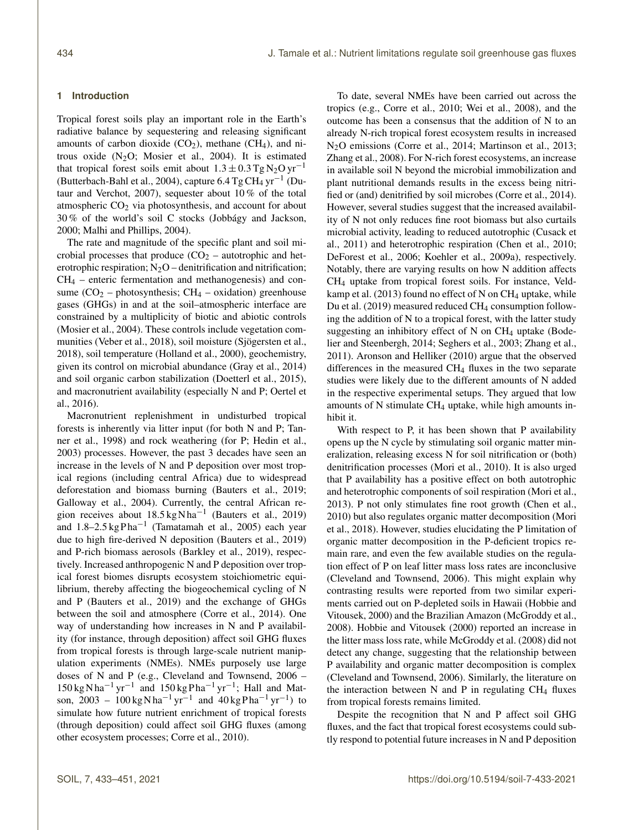## **1 Introduction**

Tropical forest soils play an important role in the Earth's radiative balance by sequestering and releasing significant amounts of carbon dioxide  $(CO<sub>2</sub>)$ , methane  $(CH<sub>4</sub>)$ , and nitrous oxide  $(N_2O;$  Mosier et al., 2004). It is estimated that tropical forest soils emit about  $1.3 \pm 0.3$  Tg N<sub>2</sub>O yr<sup>-1</sup> (Butterbach-Bahl et al., 2004), capture  $6.4$  Tg CH<sub>4</sub> yr<sup>-1</sup> (Dutaur and Verchot, 2007), sequester about 10 % of the total atmospheric  $CO<sub>2</sub>$  via photosynthesis, and account for about 30 % of the world's soil C stocks (Jobbágy and Jackson, 2000; Malhi and Phillips, 2004).

The rate and magnitude of the specific plant and soil microbial processes that produce  $(CO<sub>2</sub> -$  autotrophic and heterotrophic respiration;  $N_2O$  – denitrification and nitrification;  $CH<sub>4</sub>$  – enteric fermentation and methanogenesis) and consume  $(CO_2$  – photosynthesis;  $CH_4$  – oxidation) greenhouse gases (GHGs) in and at the soil–atmospheric interface are constrained by a multiplicity of biotic and abiotic controls (Mosier et al., 2004). These controls include vegetation communities (Veber et al., 2018), soil moisture (Sjögersten et al., 2018), soil temperature (Holland et al., 2000), geochemistry, given its control on microbial abundance (Gray et al., 2014) and soil organic carbon stabilization (Doetterl et al., 2015), and macronutrient availability (especially N and P; Oertel et al., 2016).

Macronutrient replenishment in undisturbed tropical forests is inherently via litter input (for both N and P; Tanner et al., 1998) and rock weathering (for P; Hedin et al., 2003) processes. However, the past 3 decades have seen an increase in the levels of N and P deposition over most tropical regions (including central Africa) due to widespread deforestation and biomass burning (Bauters et al., 2019; Galloway et al., 2004). Currently, the central African region receives about 18.5 kg N ha−<sup>1</sup> (Bauters et al., 2019) and 1.8–2.5 kg Pha<sup>-1</sup> (Tamatamah et al., 2005) each year due to high fire-derived N deposition (Bauters et al., 2019) and P-rich biomass aerosols (Barkley et al., 2019), respectively. Increased anthropogenic N and P deposition over tropical forest biomes disrupts ecosystem stoichiometric equilibrium, thereby affecting the biogeochemical cycling of N and P (Bauters et al., 2019) and the exchange of GHGs between the soil and atmosphere (Corre et al., 2014). One way of understanding how increases in N and P availability (for instance, through deposition) affect soil GHG fluxes from tropical forests is through large-scale nutrient manipulation experiments (NMEs). NMEs purposely use large doses of N and P (e.g., Cleveland and Townsend, 2006 –  $150 \text{ kg} \text{ N} \text{ ha}^{-1} \text{ yr}^{-1}$  and  $150 \text{ kg} \text{ P} \text{ ha}^{-1} \text{ yr}^{-1}$ ; Hall and Matson, 2003 – 100 kg N ha<sup>-1</sup> yr<sup>-1</sup> and 40 kg P ha<sup>-1</sup> yr<sup>-1</sup>) to simulate how future nutrient enrichment of tropical forests (through deposition) could affect soil GHG fluxes (among other ecosystem processes; Corre et al., 2010).

To date, several NMEs have been carried out across the tropics (e.g., Corre et al., 2010; Wei et al., 2008), and the outcome has been a consensus that the addition of N to an already N-rich tropical forest ecosystem results in increased N2O emissions (Corre et al., 2014; Martinson et al., 2013; Zhang et al., 2008). For N-rich forest ecosystems, an increase in available soil N beyond the microbial immobilization and plant nutritional demands results in the excess being nitrified or (and) denitrified by soil microbes (Corre et al., 2014). However, several studies suggest that the increased availability of N not only reduces fine root biomass but also curtails microbial activity, leading to reduced autotrophic (Cusack et al., 2011) and heterotrophic respiration (Chen et al., 2010; DeForest et al., 2006; Koehler et al., 2009a), respectively. Notably, there are varying results on how N addition affects CH<sup>4</sup> uptake from tropical forest soils. For instance, Veldkamp et al. (2013) found no effect of N on  $CH_4$  uptake, while Du et al. (2019) measured reduced CH<sub>4</sub> consumption following the addition of N to a tropical forest, with the latter study suggesting an inhibitory effect of N on CH<sub>4</sub> uptake (Bodelier and Steenbergh, 2014; Seghers et al., 2003; Zhang et al., 2011). Aronson and Helliker (2010) argue that the observed differences in the measured CH<sup>4</sup> fluxes in the two separate studies were likely due to the different amounts of N added in the respective experimental setups. They argued that low amounts of N stimulate  $CH_4$  uptake, while high amounts inhibit it.

With respect to P, it has been shown that P availability opens up the N cycle by stimulating soil organic matter mineralization, releasing excess N for soil nitrification or (both) denitrification processes (Mori et al., 2010). It is also urged that P availability has a positive effect on both autotrophic and heterotrophic components of soil respiration (Mori et al., 2013). P not only stimulates fine root growth (Chen et al., 2010) but also regulates organic matter decomposition (Mori et al., 2018). However, studies elucidating the P limitation of organic matter decomposition in the P-deficient tropics remain rare, and even the few available studies on the regulation effect of P on leaf litter mass loss rates are inconclusive (Cleveland and Townsend, 2006). This might explain why contrasting results were reported from two similar experiments carried out on P-depleted soils in Hawaii (Hobbie and Vitousek, 2000) and the Brazilian Amazon (McGroddy et al., 2008). Hobbie and Vitousek (2000) reported an increase in the litter mass loss rate, while McGroddy et al. (2008) did not detect any change, suggesting that the relationship between P availability and organic matter decomposition is complex (Cleveland and Townsend, 2006). Similarly, the literature on the interaction between N and P in regulating  $CH<sub>4</sub>$  fluxes from tropical forests remains limited.

Despite the recognition that N and P affect soil GHG fluxes, and the fact that tropical forest ecosystems could subtly respond to potential future increases in N and P deposition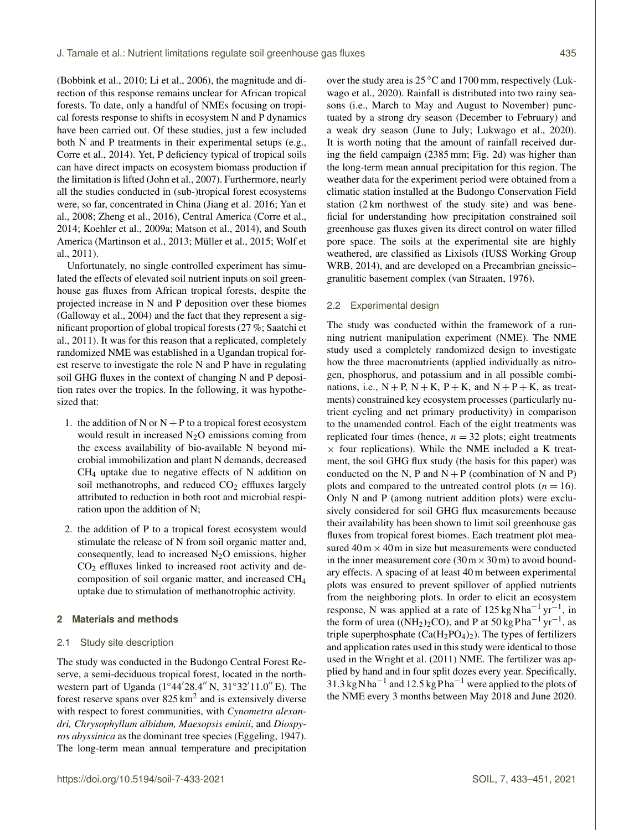(Bobbink et al., 2010; Li et al., 2006), the magnitude and direction of this response remains unclear for African tropical forests. To date, only a handful of NMEs focusing on tropical forests response to shifts in ecosystem N and P dynamics have been carried out. Of these studies, just a few included both N and P treatments in their experimental setups (e.g., Corre et al., 2014). Yet, P deficiency typical of tropical soils can have direct impacts on ecosystem biomass production if the limitation is lifted (John et al., 2007). Furthermore, nearly all the studies conducted in (sub-)tropical forest ecosystems were, so far, concentrated in China (Jiang et al. 2016; Yan et al., 2008; Zheng et al., 2016), Central America (Corre et al., 2014; Koehler et al., 2009a; Matson et al., 2014), and South America (Martinson et al., 2013; Müller et al., 2015; Wolf et al., 2011).

Unfortunately, no single controlled experiment has simulated the effects of elevated soil nutrient inputs on soil greenhouse gas fluxes from African tropical forests, despite the projected increase in N and P deposition over these biomes (Galloway et al., 2004) and the fact that they represent a significant proportion of global tropical forests (27 %; Saatchi et al., 2011). It was for this reason that a replicated, completely randomized NME was established in a Ugandan tropical forest reserve to investigate the role N and P have in regulating soil GHG fluxes in the context of changing N and P deposition rates over the tropics. In the following, it was hypothesized that:

- 1. the addition of N or  $N + P$  to a tropical forest ecosystem would result in increased  $N_2O$  emissions coming from the excess availability of bio-available N beyond microbial immobilization and plant N demands, decreased CH<sup>4</sup> uptake due to negative effects of N addition on soil methanotrophs, and reduced  $CO<sub>2</sub>$  effluxes largely attributed to reduction in both root and microbial respiration upon the addition of N;
- 2. the addition of P to a tropical forest ecosystem would stimulate the release of N from soil organic matter and, consequently, lead to increased  $N_2O$  emissions, higher  $CO<sub>2</sub>$  effluxes linked to increased root activity and decomposition of soil organic matter, and increased CH<sup>4</sup> uptake due to stimulation of methanotrophic activity.

# **2 Materials and methods**

## 2.1 Study site description

The study was conducted in the Budongo Central Forest Reserve, a semi-deciduous tropical forest, located in the northwestern part of Uganda (1°44'28.4" N, 31°32'11.0" E). The forest reserve spans over  $825 \text{ km}^2$  and is extensively diverse with respect to forest communities, with *Cynometra alexandri, Chrysophyllum albidum, Maesopsis eminii*, and *Diospyros abyssinica* as the dominant tree species (Eggeling, 1947). The long-term mean annual temperature and precipitation over the study area is 25 ◦C and 1700 mm, respectively (Lukwago et al., 2020). Rainfall is distributed into two rainy seasons (i.e., March to May and August to November) punctuated by a strong dry season (December to February) and a weak dry season (June to July; Lukwago et al., 2020). It is worth noting that the amount of rainfall received during the field campaign (2385 mm; Fig. 2d) was higher than the long-term mean annual precipitation for this region. The weather data for the experiment period were obtained from a climatic station installed at the Budongo Conservation Field station (2 km northwest of the study site) and was beneficial for understanding how precipitation constrained soil greenhouse gas fluxes given its direct control on water filled pore space. The soils at the experimental site are highly weathered, are classified as Lixisols (IUSS Working Group WRB, 2014), and are developed on a Precambrian gneissicgranulitic basement complex (van Straaten, 1976).

## 2.2 Experimental design

The study was conducted within the framework of a running nutrient manipulation experiment (NME). The NME study used a completely randomized design to investigate how the three macronutrients (applied individually as nitrogen, phosphorus, and potassium and in all possible combinations, i.e.,  $N + P$ ,  $N + K$ ,  $P + K$ , and  $N + P + K$ , as treatments) constrained key ecosystem processes (particularly nutrient cycling and net primary productivity) in comparison to the unamended control. Each of the eight treatments was replicated four times (hence,  $n = 32$  plots; eight treatments  $\times$  four replications). While the NME included a K treatment, the soil GHG flux study (the basis for this paper) was conducted on the N, P and  $N + P$  (combination of N and P) plots and compared to the untreated control plots  $(n = 16)$ . Only N and P (among nutrient addition plots) were exclusively considered for soil GHG flux measurements because their availability has been shown to limit soil greenhouse gas fluxes from tropical forest biomes. Each treatment plot measured  $40 \text{ m} \times 40 \text{ m}$  in size but measurements were conducted in the inner measurement core  $(30 \text{ m} \times 30 \text{ m})$  to avoid boundary effects. A spacing of at least 40 m between experimental plots was ensured to prevent spillover of applied nutrients from the neighboring plots. In order to elicit an ecosystem response, N was applied at a rate of  $125 \text{ kg} \text{N} \text{h} \text{a}^{-1} \text{ yr}^{-1}$ , in the form of urea ( $(NH<sub>2</sub>)<sub>2</sub>CO$ ), and P at 50 kg Pha<sup>-1</sup> yr<sup>-1</sup>, as triple superphosphate  $(Ca(H_2PO_4)_2)$ . The types of fertilizers and application rates used in this study were identical to those used in the Wright et al. (2011) NME. The fertilizer was applied by hand and in four split dozes every year. Specifically,  $31.3 \text{ kg} \text{N} \text{h} \text{a}^{-1}$  and  $12.5 \text{ kg} \text{P} \text{h} \text{a}^{-1}$  were applied to the plots of the NME every 3 months between May 2018 and June 2020.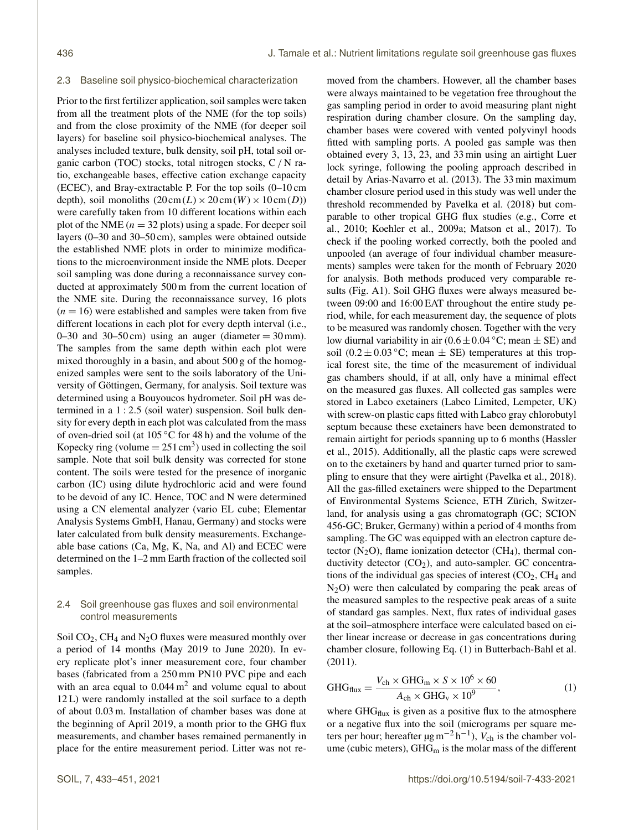#### 2.3 Baseline soil physico-biochemical characterization

Prior to the first fertilizer application, soil samples were taken from all the treatment plots of the NME (for the top soils) and from the close proximity of the NME (for deeper soil layers) for baseline soil physico-biochemical analyses. The analyses included texture, bulk density, soil pH, total soil organic carbon (TOC) stocks, total nitrogen stocks, C/ N ratio, exchangeable bases, effective cation exchange capacity (ECEC), and Bray-extractable P. For the top soils (0–10 cm depth), soil monoliths  $(20 \text{cm}(L) \times 20 \text{cm}(W) \times 10 \text{cm}(D))$ were carefully taken from 10 different locations within each plot of the NME ( $n = 32$  plots) using a spade. For deeper soil layers (0–30 and 30–50 cm), samples were obtained outside the established NME plots in order to minimize modifications to the microenvironment inside the NME plots. Deeper soil sampling was done during a reconnaissance survey conducted at approximately 500 m from the current location of the NME site. During the reconnaissance survey, 16 plots  $(n = 16)$  were established and samples were taken from five different locations in each plot for every depth interval (i.e., 0–30 and 30–50 cm) using an auger (diameter  $= 30$  mm). The samples from the same depth within each plot were mixed thoroughly in a basin, and about 500 g of the homogenized samples were sent to the soils laboratory of the University of Göttingen, Germany, for analysis. Soil texture was determined using a Bouyoucos hydrometer. Soil pH was determined in a 1 : 2.5 (soil water) suspension. Soil bulk density for every depth in each plot was calculated from the mass of oven-dried soil (at 105 ◦C for 48 h) and the volume of the Kopecky ring (volume  $= 251 \text{ cm}^3$ ) used in collecting the soil sample. Note that soil bulk density was corrected for stone content. The soils were tested for the presence of inorganic carbon (IC) using dilute hydrochloric acid and were found to be devoid of any IC. Hence, TOC and N were determined using a CN elemental analyzer (vario EL cube; Elementar Analysis Systems GmbH, Hanau, Germany) and stocks were later calculated from bulk density measurements. Exchangeable base cations (Ca, Mg, K, Na, and Al) and ECEC were determined on the 1–2 mm Earth fraction of the collected soil samples.

# 2.4 Soil greenhouse gas fluxes and soil environmental control measurements

Soil  $CO<sub>2</sub>$ , CH<sub>4</sub> and N<sub>2</sub>O fluxes were measured monthly over a period of 14 months (May 2019 to June 2020). In every replicate plot's inner measurement core, four chamber bases (fabricated from a 250 mm PN10 PVC pipe and each with an area equal to  $0.044 \text{ m}^2$  and volume equal to about 12 L) were randomly installed at the soil surface to a depth of about 0.03 m. Installation of chamber bases was done at the beginning of April 2019, a month prior to the GHG flux measurements, and chamber bases remained permanently in place for the entire measurement period. Litter was not removed from the chambers. However, all the chamber bases were always maintained to be vegetation free throughout the gas sampling period in order to avoid measuring plant night respiration during chamber closure. On the sampling day, chamber bases were covered with vented polyvinyl hoods fitted with sampling ports. A pooled gas sample was then obtained every 3, 13, 23, and 33 min using an airtight Luer lock syringe, following the pooling approach described in detail by Arias-Navarro et al. (2013). The 33 min maximum chamber closure period used in this study was well under the threshold recommended by Pavelka et al. (2018) but comparable to other tropical GHG flux studies (e.g., Corre et al., 2010; Koehler et al., 2009a; Matson et al., 2017). To check if the pooling worked correctly, both the pooled and unpooled (an average of four individual chamber measurements) samples were taken for the month of February 2020 for analysis. Both methods produced very comparable results (Fig. A1). Soil GHG fluxes were always measured between 09:00 and 16:00 EAT throughout the entire study period, while, for each measurement day, the sequence of plots to be measured was randomly chosen. Together with the very low diurnal variability in air  $(0.6 \pm 0.04 \degree C;$  mean  $\pm$  SE) and soil (0.2  $\pm$  0.03 °C; mean  $\pm$  SE) temperatures at this tropical forest site, the time of the measurement of individual gas chambers should, if at all, only have a minimal effect on the measured gas fluxes. All collected gas samples were stored in Labco exetainers (Labco Limited, Lempeter, UK) with screw-on plastic caps fitted with Labco gray chlorobutyl septum because these exetainers have been demonstrated to remain airtight for periods spanning up to 6 months (Hassler et al., 2015). Additionally, all the plastic caps were screwed on to the exetainers by hand and quarter turned prior to sampling to ensure that they were airtight (Pavelka et al., 2018). All the gas-filled exetainers were shipped to the Department of Environmental Systems Science, ETH Zürich, Switzerland, for analysis using a gas chromatograph (GC; SCION 456-GC; Bruker, Germany) within a period of 4 months from sampling. The GC was equipped with an electron capture detector  $(N_2O)$ , flame ionization detector  $(CH_4)$ , thermal conductivity detector  $(CO_2)$ , and auto-sampler. GC concentrations of the individual gas species of interest  $(CO<sub>2</sub>, CH<sub>4</sub>$  and  $N_2$ O) were then calculated by comparing the peak areas of the measured samples to the respective peak areas of a suite of standard gas samples. Next, flux rates of individual gases at the soil–atmosphere interface were calculated based on either linear increase or decrease in gas concentrations during chamber closure, following Eq. (1) in Butterbach-Bahl et al. (2011).

$$
GHG_{\text{flux}} = \frac{V_{\text{ch}} \times GHG_{\text{m}} \times S \times 10^6 \times 60}{A_{\text{ch}} \times GHG_{\text{v}} \times 10^9},\tag{1}
$$

where  $GHG_{flux}$  is given as a positive flux to the atmosphere or a negative flux into the soil (micrograms per square meters per hour; hereafter  $\mu$ g m<sup>-2</sup> h<sup>-1</sup>),  $V_{ch}$  is the chamber volume (cubic meters),  $GHG<sub>m</sub>$  is the molar mass of the different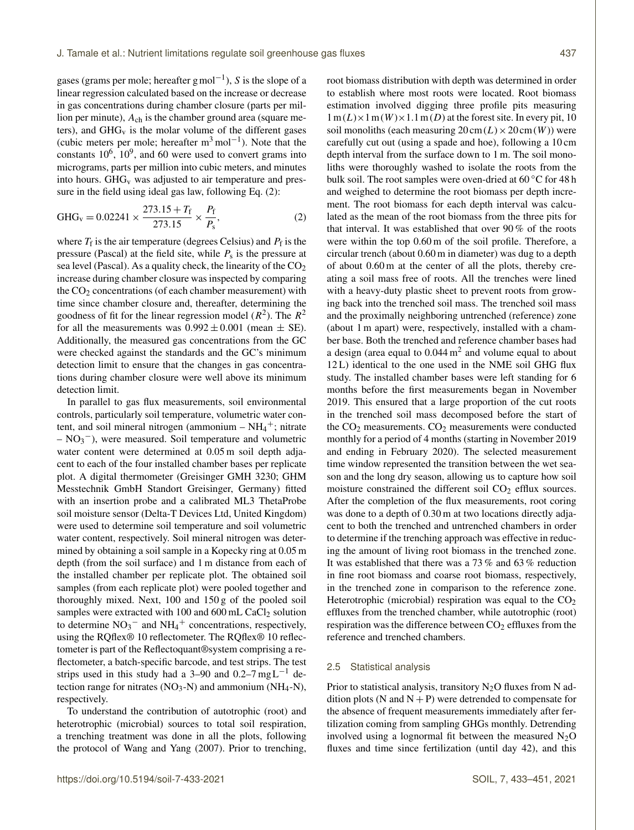gases (grams per mole; hereafter  $g \mod^{-1}$ ), S is the slope of a linear regression calculated based on the increase or decrease in gas concentrations during chamber closure (parts per million per minute),  $A_{ch}$  is the chamber ground area (square meters), and  $GHG_v$  is the molar volume of the different gases (cubic meters per mole; hereafter  $m^3$  mol<sup>-1</sup>). Note that the constants  $10^6$ ,  $10^9$ , and 60 were used to convert grams into micrograms, parts per million into cubic meters, and minutes into hours.  $GHG_v$  was adjusted to air temperature and pressure in the field using ideal gas law, following Eq. (2):

$$
GHG_v = 0.02241 \times \frac{273.15 + T_f}{273.15} \times \frac{P_f}{P_s},
$$
 (2)

where  $T_f$  is the air temperature (degrees Celsius) and  $P_f$  is the pressure (Pascal) at the field site, while  $P_s$  is the pressure at sea level (Pascal). As a quality check, the linearity of the  $CO<sub>2</sub>$ increase during chamber closure was inspected by comparing the  $CO<sub>2</sub>$  concentrations (of each chamber measurement) with time since chamber closure and, thereafter, determining the goodness of fit for the linear regression model  $(R^2)$ . The  $R^2$ for all the measurements was  $0.992 \pm 0.001$  (mean  $\pm$  SE). Additionally, the measured gas concentrations from the GC were checked against the standards and the GC's minimum detection limit to ensure that the changes in gas concentrations during chamber closure were well above its minimum detection limit.

In parallel to gas flux measurements, soil environmental controls, particularly soil temperature, volumetric water content, and soil mineral nitrogen (ammonium  $-NH_4$ <sup>+</sup>; nitrate  $– NO<sub>3</sub><sup>–</sup>$ ), were measured. Soil temperature and volumetric water content were determined at  $0.05$  m soil depth adjacent to each of the four installed chamber bases per replicate plot. A digital thermometer (Greisinger GMH 3230; GHM Messtechnik GmbH Standort Greisinger, Germany) fitted with an insertion probe and a calibrated ML3 ThetaProbe soil moisture sensor (Delta-T Devices Ltd, United Kingdom) were used to determine soil temperature and soil volumetric water content, respectively. Soil mineral nitrogen was determined by obtaining a soil sample in a Kopecky ring at 0.05 m depth (from the soil surface) and 1 m distance from each of the installed chamber per replicate plot. The obtained soil samples (from each replicate plot) were pooled together and thoroughly mixed. Next, 100 and 150 g of the pooled soil samples were extracted with 100 and 600 mL CaCl<sub>2</sub> solution to determine  $NO_3^-$  and  $NH_4^+$  concentrations, respectively, using the RQflex® 10 reflectometer. The RQflex® 10 reflectometer is part of the Reflectoquant®system comprising a reflectometer, a batch-specific barcode, and test strips. The test strips used in this study had a 3–90 and 0.2–7 mg L<sup>-1</sup> detection range for nitrates  $(NO<sub>3</sub>-N)$  and ammonium  $(NH<sub>4</sub>-N)$ , respectively.

To understand the contribution of autotrophic (root) and heterotrophic (microbial) sources to total soil respiration, a trenching treatment was done in all the plots, following the protocol of Wang and Yang (2007). Prior to trenching, root biomass distribution with depth was determined in order to establish where most roots were located. Root biomass estimation involved digging three profile pits measuring  $1 m(L) \times 1 m(W) \times 1.1 m(D)$  at the forest site. In every pit, 10 soil monoliths (each measuring  $20 \text{cm}(L) \times 20 \text{cm}(W)$ ) were carefully cut out (using a spade and hoe), following a 10 cm depth interval from the surface down to 1 m. The soil monoliths were thoroughly washed to isolate the roots from the bulk soil. The root samples were oven-dried at 60 ◦C for 48 h and weighed to determine the root biomass per depth increment. The root biomass for each depth interval was calculated as the mean of the root biomass from the three pits for that interval. It was established that over 90 % of the roots were within the top 0.60 m of the soil profile. Therefore, a circular trench (about 0.60 m in diameter) was dug to a depth of about 0.60 m at the center of all the plots, thereby creating a soil mass free of roots. All the trenches were lined with a heavy-duty plastic sheet to prevent roots from growing back into the trenched soil mass. The trenched soil mass and the proximally neighboring untrenched (reference) zone (about 1 m apart) were, respectively, installed with a chamber base. Both the trenched and reference chamber bases had a design (area equal to  $0.044 \text{ m}^2$  and volume equal to about 12 L) identical to the one used in the NME soil GHG flux study. The installed chamber bases were left standing for 6 months before the first measurements began in November 2019. This ensured that a large proportion of the cut roots in the trenched soil mass decomposed before the start of the  $CO<sub>2</sub>$  measurements.  $CO<sub>2</sub>$  measurements were conducted monthly for a period of 4 months (starting in November 2019 and ending in February 2020). The selected measurement time window represented the transition between the wet season and the long dry season, allowing us to capture how soil moisture constrained the different soil  $CO<sub>2</sub>$  efflux sources. After the completion of the flux measurements, root coring was done to a depth of  $0.30$  m at two locations directly adjacent to both the trenched and untrenched chambers in order to determine if the trenching approach was effective in reducing the amount of living root biomass in the trenched zone. It was established that there was a 73 % and 63 % reduction in fine root biomass and coarse root biomass, respectively, in the trenched zone in comparison to the reference zone. Heterotrophic (microbial) respiration was equal to the  $CO<sub>2</sub>$ effluxes from the trenched chamber, while autotrophic (root) respiration was the difference between  $CO<sub>2</sub>$  effluxes from the reference and trenched chambers.

## 2.5 Statistical analysis

Prior to statistical analysis, transitory  $N_2O$  fluxes from N addition plots (N and  $N + P$ ) were detrended to compensate for the absence of frequent measurements immediately after fertilization coming from sampling GHGs monthly. Detrending involved using a lognormal fit between the measured  $N_2O$ fluxes and time since fertilization (until day 42), and this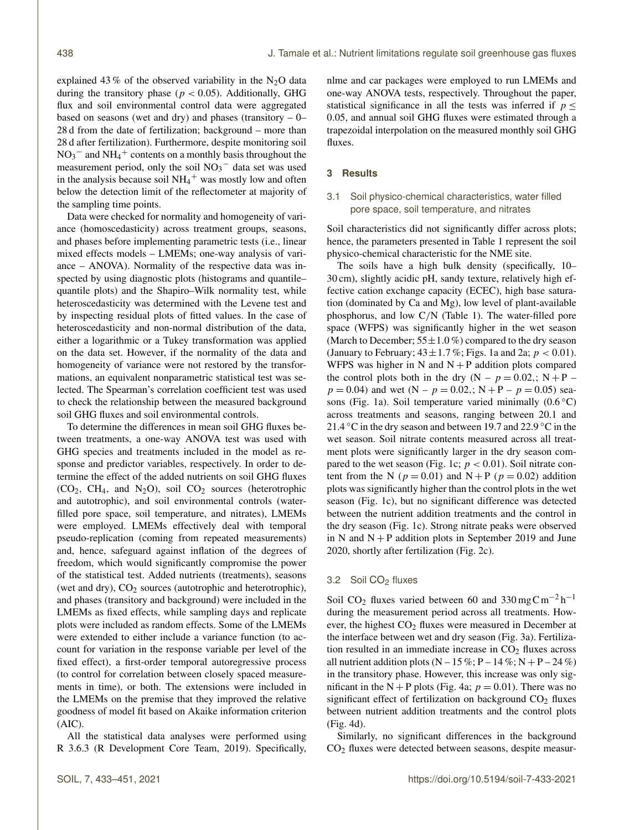explained 43 % of the observed variability in the N<sub>2</sub>O data during the transitory phase ( $p < 0.05$ ). Additionally, GHG flux and soil environmental control data were aggregated based on seasons (wet and dry) and phases (transitory  $-0$ – 28 d from the date of fertilization; background – more than 28 d after fertilization). Furthermore, despite monitoring soil  $NO<sub>3</sub><sup>-</sup>$  and  $NH<sub>4</sub><sup>+</sup>$  contents on a monthly basis throughout the measurement period, only the soil  $NO<sub>3</sub><sup>-</sup>$  data set was used in the analysis because soil  $NH_4$ <sup>+</sup> was mostly low and often below the detection limit of the reflectometer at majority of the sampling time points.

Data were checked for normality and homogeneity of variance (homoscedasticity) across treatment groups, seasons, and phases before implementing parametric tests (i.e., linear mixed effects models – LMEMs; one-way analysis of variance – ANOVA). Normality of the respective data was inspected by using diagnostic plots (histograms and quantile– quantile plots) and the Shapiro–Wilk normality test, while heteroscedasticity was determined with the Levene test and by inspecting residual plots of fitted values. In the case of heteroscedasticity and non-normal distribution of the data, either a logarithmic or a Tukey transformation was applied on the data set. However, if the normality of the data and homogeneity of variance were not restored by the transformations, an equivalent nonparametric statistical test was selected. The Spearman's correlation coefficient test was used to check the relationship between the measured background soil GHG fluxes and soil environmental controls.

To determine the differences in mean soil GHG fluxes between treatments, a one-way ANOVA test was used with GHG species and treatments included in the model as response and predictor variables, respectively. In order to determine the effect of the added nutrients on soil GHG fluxes  $(CO_2, CH_4, and N_2O)$ , soil  $CO_2$  sources (heterotrophic and autotrophic), and soil environmental controls (waterfilled pore space, soil temperature, and nitrates), LMEMs were employed. LMEMs effectively deal with temporal pseudo-replication (coming from repeated measurements) and, hence, safeguard against inflation of the degrees of freedom, which would significantly compromise the power of the statistical test. Added nutrients (treatments), seasons (wet and dry),  $CO<sub>2</sub>$  sources (autotrophic and heterotrophic), and phases (transitory and background) were included in the LMEMs as fixed effects, while sampling days and replicate plots were included as random effects. Some of the LMEMs were extended to either include a variance function (to account for variation in the response variable per level of the fixed effect), a first-order temporal autoregressive process (to control for correlation between closely spaced measurements in time), or both. The extensions were included in the LMEMs on the premise that they improved the relative goodness of model fit based on Akaike information criterion (AIC).

All the statistical data analyses were performed using R 3.6.3 (R Development Core Team, 2019). Specifically, nlme and car packages were employed to run LMEMs and one-way ANOVA tests, respectively. Throughout the paper, statistical significance in all the tests was inferred if  $p \leq$ 0.05, and annual soil GHG fluxes were estimated through a trapezoidal interpolation on the measured monthly soil GHG fluxes.

## **3 Results**

## 3.1 Soil physico-chemical characteristics, water filled pore space, soil temperature, and nitrates

Soil characteristics did not significantly differ across plots; hence, the parameters presented in Table 1 represent the soil physico-chemical characteristic for the NME site.

The soils have a high bulk density (specifically, 10– 30 cm), slightly acidic pH, sandy texture, relatively high effective cation exchange capacity (ECEC), high base saturation (dominated by Ca and Mg), low level of plant-available phosphorus, and low C/N (Table 1). The water-filled pore space (WFPS) was significantly higher in the wet season (March to December;  $55 \pm 1.0\%$ ) compared to the dry season (January to February;  $43 \pm 1.7$  %; Figs. 1a and 2a;  $p < 0.01$ ). WFPS was higher in N and  $N + P$  addition plots compared the control plots both in the dry  $(N - p = 0.02, ; N + P$  $p = 0.04$ ) and wet  $(N - p = 0.02)$ ;  $N + P - p = 0.05$ ) seasons (Fig. 1a). Soil temperature varied minimally  $(0.6 °C)$ across treatments and seasons, ranging between 20.1 and 21.4 °C in the dry season and between 19.7 and 22.9 °C in the wet season. Soil nitrate contents measured across all treatment plots were significantly larger in the dry season compared to the wet season (Fig. 1c;  $p < 0.01$ ). Soil nitrate content from the N ( $p = 0.01$ ) and N + P ( $p = 0.02$ ) addition plots was significantly higher than the control plots in the wet season (Fig. 1c), but no significant difference was detected between the nutrient addition treatments and the control in the dry season (Fig. 1c). Strong nitrate peaks were observed in N and  $N + P$  addition plots in September 2019 and June 2020, shortly after fertilization (Fig. 2c).

### 3.2 Soil CO<sub>2</sub> fluxes

Soil CO<sub>2</sub> fluxes varied between 60 and 330 mgCm<sup>-2</sup> h<sup>-1</sup> during the measurement period across all treatments. However, the highest CO<sub>2</sub> fluxes were measured in December at the interface between wet and dry season (Fig. 3a). Fertilization resulted in an immediate increase in  $CO<sub>2</sub>$  fluxes across all nutrient addition plots  $(N - 15\%; P - 14\%; N + P - 24\%)$ in the transitory phase. However, this increase was only significant in the N + P plots (Fig. 4a;  $p = 0.01$ ). There was no significant effect of fertilization on background  $CO<sub>2</sub>$  fluxes between nutrient addition treatments and the control plots (Fig. 4d).

Similarly, no significant differences in the background CO<sup>2</sup> fluxes were detected between seasons, despite measur-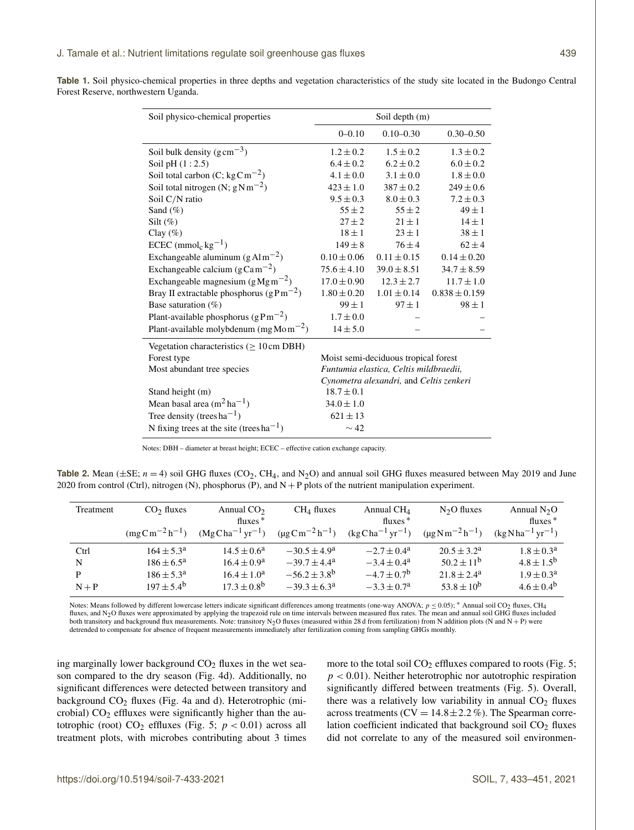|  |                                      |  |  | <b>Table 1.</b> Soil physico-chemical properties in three depths and vegetation characteristics of the study site located in the Budongo Central |  |  |  |  |
|--|--------------------------------------|--|--|--------------------------------------------------------------------------------------------------------------------------------------------------|--|--|--|--|
|  | Forest Reserve, northwestern Uganda. |  |  |                                                                                                                                                  |  |  |  |  |

| Soil physico-chemical properties                    | Soil depth (m)                          |                 |                   |  |  |
|-----------------------------------------------------|-----------------------------------------|-----------------|-------------------|--|--|
|                                                     | $0 - 0.10$                              | $0.10 - 0.30$   | $0.30 - 0.50$     |  |  |
| Soil bulk density $(g \text{ cm}^{-3})$             | $1.2 \pm 0.2$                           | $1.5 + 0.2$     | $1.3 \pm 0.2$     |  |  |
| Soil pH $(1:2.5)$                                   | $6.4 \pm 0.2$                           | $6.2 \pm 0.2$   | $6.0 \pm 0.2$     |  |  |
| Soil total carbon (C; kgCm <sup>-2</sup> )          | $4.1 \pm 0.0$                           | $3.1 \pm 0.0$   | $1.8 \pm 0.0$     |  |  |
| Soil total nitrogen (N; $gNm^{-2}$ )                | $423 \pm 1.0$                           | $387 \pm 0.2$   | $249 \pm 0.6$     |  |  |
| Soil C/N ratio                                      | $9.5 \pm 0.3$                           | $8.0 \pm 0.3$   | $7.2 \pm 0.3$     |  |  |
| Sand $(\%)$                                         | $55 \pm 2$                              | $55 \pm 2$      | $49 \pm 1$        |  |  |
| Silt $(\%)$                                         | $27 + 2$                                | $21 \pm 1$      | $14 \pm 1$        |  |  |
| Clay $(\%)$                                         | $18 \pm 1$                              | $23 \pm 1$      | $38 \pm 1$        |  |  |
| $ECEC$ (mmol <sub>c</sub> kg <sup>-1</sup> )        | $149 \pm 8$                             | $76 \pm 4$      | $62 \pm 4$        |  |  |
| Exchangeable aluminum $(gAlm^{-2})$                 | $0.10 \pm 0.06$                         | $0.11 \pm 0.15$ | $0.14 \pm 0.20$   |  |  |
| Exchangeable calcium ( $g$ Cam <sup>-2</sup> )      | $75.6 \pm 4.10$                         | $39.0 \pm 8.51$ | $34.7 \pm 8.59$   |  |  |
| Exchangeable magnesium $(gMgm^{-2})$                | $17.0 \pm 0.90$                         | $12.3 \pm 2.7$  | $11.7 \pm 1.0$    |  |  |
| Bray II extractable phosphorus ( $gPm^{-2}$ )       | $1.80 \pm 0.20$                         | $1.01 \pm 0.14$ | $0.838 \pm 0.159$ |  |  |
| Base saturation $(\%)$                              | $99 \pm 1$                              | $97 \pm 1$      | $98 \pm 1$        |  |  |
| Plant-available phosphorus $(gPm^{-2})$             | $1.7 \pm 0.0$                           |                 |                   |  |  |
| Plant-available molybdenum (mg Mo m <sup>-2</sup> ) | $14 \pm 5.0$                            |                 |                   |  |  |
| Vegetation characteristics $(>10 \text{ cm DBH})$   |                                         |                 |                   |  |  |
| Forest type                                         | Moist semi-deciduous tropical forest    |                 |                   |  |  |
| Most abundant tree species                          | Funtumia elastica, Celtis mildbraedii,  |                 |                   |  |  |
|                                                     | Cynometra alexandri, and Celtis zenkeri |                 |                   |  |  |
| Stand height (m)                                    | $18.7 \pm 0.1$                          |                 |                   |  |  |
| Mean basal area $(m^2 ha^{-1})$                     | $34.0 \pm 1.0$                          |                 |                   |  |  |
| Tree density (trees ha <sup>-1</sup> )              | $621 \pm 13$                            |                 |                   |  |  |
| N fixing trees at the site (trees $ha^{-1}$ )       | $\sim$ 42                               |                 |                   |  |  |

Notes: DBH – diameter at breast height; ECEC – effective cation exchange capacity.

**Table 2.** Mean ( $\pm$ SE;  $n = 4$ ) soil GHG fluxes (CO<sub>2</sub>, CH<sub>4</sub>, and N<sub>2</sub>O) and annual soil GHG fluxes measured between May 2019 and June 2020 from control (Ctrl), nitrogen (N), phosphorus (P), and  $N + P$  plots of the nutrient manipulation experiment.

| Treatment | CO <sub>2</sub> fluxes | Annual $CO2$<br>$fluxes*$ | $CH4$ fluxes              | Annual $CH4$<br>$fluxes*$            | $N2O$ fluxes              | Annual $N_2O$<br>$fluxes*$ |
|-----------|------------------------|---------------------------|---------------------------|--------------------------------------|---------------------------|----------------------------|
|           | $(mgCm^{-2}h^{-1})$    | $(MgCha^{-1}yr^{-1})$     | $(\mu g C m^{-2} h^{-1})$ | $(\text{kg Cha}^{-1}\text{yr}^{-1})$ | $(\mu g N m^{-2} h^{-1})$ | $(kgNha^{-1}yr^{-1})$      |
| Ctrl      | $164 \pm 5.3^{\circ}$  | $14.5 \pm 0.6^a$          | $-30.5 \pm 4.9^{\circ}$   | $-2.7 \pm 0.4^{\circ}$               | $20.5 + 3.2^a$            | $1.8 \pm 0.3^{\rm a}$      |
| N         | $186 \pm 6.5^{\circ}$  | $16.4 \pm 0.9^a$          | $-39.7 + 4.4^a$           | $-3.4 \pm 0.4^{\circ}$               | $50.2 + 11^{b}$           | $4.8 \pm 1.5^{b}$          |
| P         | $186 \pm 5.3^{\circ}$  | $16.4 \pm 1.0^a$          | $-56.2 \pm 3.8^{\circ}$   | $-4.7 \pm 0.7$ <sup>b</sup>          | $21.8 + 2.4^a$            | $1.9 \pm 0.3^{\text{a}}$   |
| $N+P$     | $197 \pm 5.4^{\rm b}$  | $17.3 \pm 0.8^{\rm b}$    | $-39.3 \pm 6.3^{\circ}$   | $-3.3 \pm 0.7^{\rm a}$               | $53.8 \pm 10^{6}$         | $4.6 + 0.4^{b}$            |

Notes: Means followed by different lowercase letters indicate significant differences among treatments (one-way ANOVA;  $p ≤ 0.05$ ); \* Annual soil CO<sub>2</sub> fluxes, CH<sub>4</sub> fluxes, and N<sub>2</sub>O fluxes were approximated by applying the trapezoid rule on time intervals between measured flux rates. The mean and annual soil GHG fluxes included both transitory and background flux measurements. Note: transitory N<sub>2</sub>O fluxes (measured within 28 d from fertilization) from N addition plots (N and N + P) were detrended to compensate for absence of frequent measurements immediately after fertilization coming from sampling GHGs monthly.

ing marginally lower background  $CO<sub>2</sub>$  fluxes in the wet season compared to the dry season (Fig. 4d). Additionally, no significant differences were detected between transitory and background  $CO<sub>2</sub>$  fluxes (Fig. 4a and d). Heterotrophic (microbial)  $CO<sub>2</sub>$  effluxes were significantly higher than the autotrophic (root)  $CO<sub>2</sub>$  effluxes (Fig. 5;  $p < 0.01$ ) across all treatment plots, with microbes contributing about 3 times more to the total soil  $CO<sub>2</sub>$  effluxes compared to roots (Fig. 5;  $p < 0.01$ ). Neither heterotrophic nor autotrophic respiration significantly differed between treatments (Fig. 5). Overall, there was a relatively low variability in annual  $CO<sub>2</sub>$  fluxes across treatments ( $CV = 14.8 \pm 2.2 \%$ ). The Spearman correlation coefficient indicated that background soil  $CO<sub>2</sub>$  fluxes did not correlate to any of the measured soil environmen-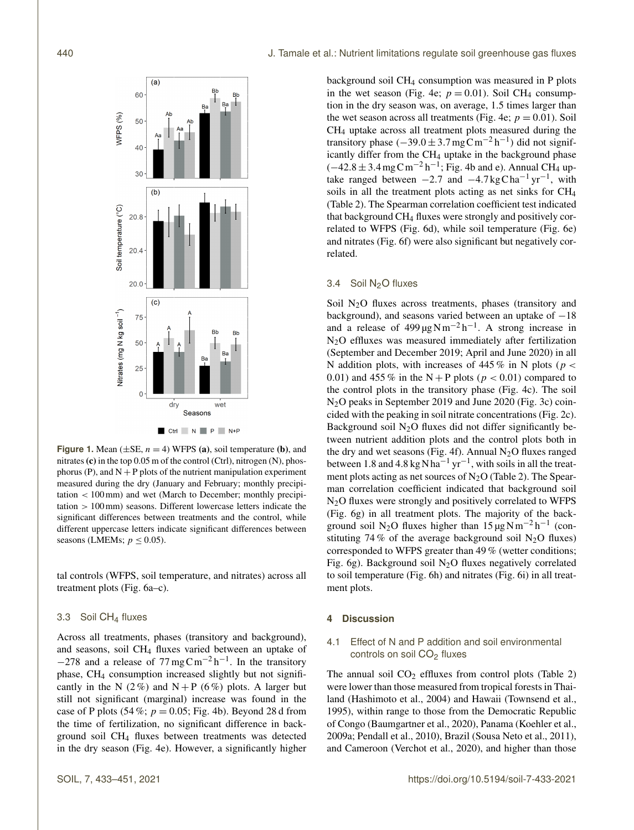

**Figure 1.** Mean  $(\pm SE, n = 4)$  WFPS (a), soil temperature (b), and nitrates (c) in the top  $0.05$  m of the control (Ctrl), nitrogen (N), phosphorus (P), and  $N + P$  plots of the nutrient manipulation experiment measured during the dry (January and February; monthly precipitation < 100mm) and wet (March to December; monthly precipitation > 100mm) seasons. Different lowercase letters indicate the significant differences between treatments and the control, while different uppercase letters indicate significant differences between seasons (LMEMs;  $p \leq 0.05$ ).

tal controls (WFPS, soil temperature, and nitrates) across all treatment plots (Fig. 6a–c).

#### 3.3 Soil CH<sup>4</sup> fluxes

Across all treatments, phases (transitory and background), and seasons, soil CH<sup>4</sup> fluxes varied between an uptake of  $-278$  and a release of  $77 \text{ mg} \text{C} \text{m}^{-2} \text{h}^{-1}$ . In the transitory phase, CH<sup>4</sup> consumption increased slightly but not significantly in the N (2%) and N + P (6%) plots. A larger but still not significant (marginal) increase was found in the case of P plots (54%;  $p = 0.05$ ; Fig. 4b). Beyond 28 d from the time of fertilization, no significant difference in background soil CH<sup>4</sup> fluxes between treatments was detected in the dry season (Fig. 4e). However, a significantly higher background soil CH<sup>4</sup> consumption was measured in P plots in the wet season (Fig. 4e;  $p = 0.01$ ). Soil CH<sub>4</sub> consumption in the dry season was, on average, 1.5 times larger than the wet season across all treatments (Fig. 4e;  $p = 0.01$ ). Soil CH<sup>4</sup> uptake across all treatment plots measured during the transitory phase  $(-39.0 \pm 3.7 \,\text{mgC} \,\text{m}^{-2} \,\text{h}^{-1})$  did not significantly differ from the  $CH<sub>4</sub>$  uptake in the background phase  $(-42.8 \pm 3.4 \,\text{mg C m}^{-2} \,\text{h}^{-1}$ ; Fig. 4b and e). Annual CH<sub>4</sub> uptake ranged between  $-2.7$  and  $-4.7$  kgCha<sup>-1</sup> yr<sup>-1</sup>, with soils in all the treatment plots acting as net sinks for CH<sup>4</sup> (Table 2). The Spearman correlation coefficient test indicated that background CH<sup>4</sup> fluxes were strongly and positively correlated to WFPS (Fig. 6d), while soil temperature (Fig. 6e) and nitrates (Fig. 6f) were also significant but negatively correlated.

## 3.4 Soil N2O fluxes

Soil N<sub>2</sub>O fluxes across treatments, phases (transitory and background), and seasons varied between an uptake of −18 and a release of  $499 \mu g N m^{-2} h^{-1}$ . A strong increase in N2O effluxes was measured immediately after fertilization (September and December 2019; April and June 2020) in all N addition plots, with increases of 445 % in N plots ( $p <$ 0.01) and 455 % in the N + P plots ( $p < 0.01$ ) compared to the control plots in the transitory phase (Fig. 4c). The soil N2O peaks in September 2019 and June 2020 (Fig. 3c) coincided with the peaking in soil nitrate concentrations (Fig. 2c). Background soil  $N_2O$  fluxes did not differ significantly between nutrient addition plots and the control plots both in the dry and wet seasons (Fig. 4f). Annual  $N_2O$  fluxes ranged between 1.8 and 4.8 kg N ha<sup>-1</sup> yr<sup>-1</sup>, with soils in all the treatment plots acting as net sources of  $N<sub>2</sub>O$  (Table 2). The Spearman correlation coefficient indicated that background soil N2O fluxes were strongly and positively correlated to WFPS (Fig. 6g) in all treatment plots. The majority of the background soil N<sub>2</sub>O fluxes higher than  $15 \mu g Nm^{-2} h^{-1}$  (constituting 74 % of the average background soil  $N_2O$  fluxes) corresponded to WFPS greater than 49 % (wetter conditions; Fig. 6g). Background soil  $N_2O$  fluxes negatively correlated to soil temperature (Fig. 6h) and nitrates (Fig. 6i) in all treatment plots.

## **4 Discussion**

# 4.1 Effect of N and P addition and soil environmental controls on soil  $CO<sub>2</sub>$  fluxes

The annual soil  $CO<sub>2</sub>$  effluxes from control plots (Table 2) were lower than those measured from tropical forests in Thailand (Hashimoto et al., 2004) and Hawaii (Townsend et al., 1995), within range to those from the Democratic Republic of Congo (Baumgartner et al., 2020), Panama (Koehler et al., 2009a; Pendall et al., 2010), Brazil (Sousa Neto et al., 2011), and Cameroon (Verchot et al., 2020), and higher than those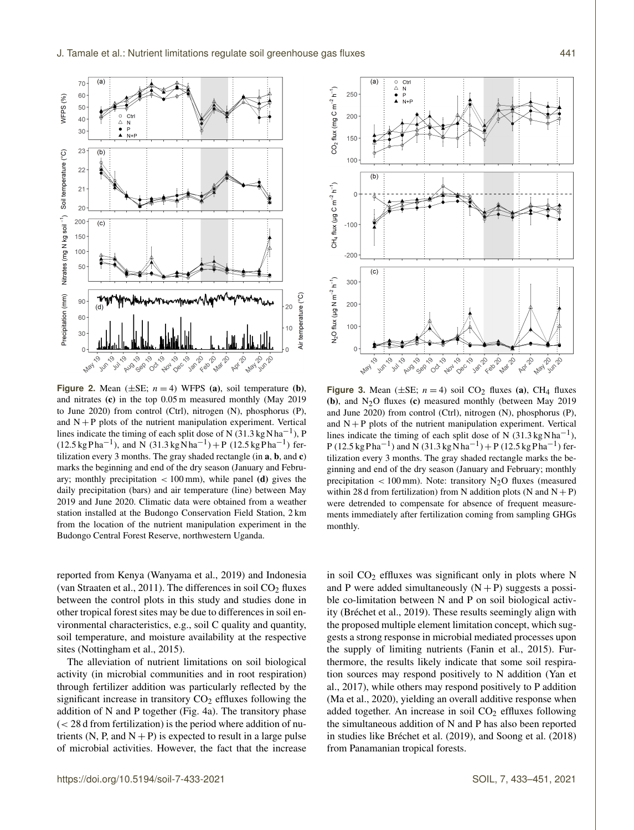

**Figure 2.** Mean  $(\pm SE; n = 4)$  WFPS (a), soil temperature (b), and nitrates (c) in the top 0.05 m measured monthly (May 2019 to June 2020) from control (Ctrl), nitrogen (N), phosphorus (P), and  $N + P$  plots of the nutrient manipulation experiment. Vertical lines indicate the timing of each split dose of N  $(31.3 \text{ kg} \text{N} \text{ha}^{-1})$ , P  $(12.5 \text{ kg} \text{ Pha}^{-1})$ , and N  $(31.3 \text{ kg} \text{Nha}^{-1}) + P (12.5 \text{ kg} \text{Pha}^{-1})$  fertilization every 3 months. The gray shaded rectangle (in a, b, and c) marks the beginning and end of the dry season (January and February; monthly precipitation  $< 100 \text{ mm}$ ), while panel (d) gives the daily precipitation (bars) and air temperature (line) between May 2019 and June 2020. Climatic data were obtained from a weather station installed at the Budongo Conservation Field Station, 2 km from the location of the nutrient manipulation experiment in the Budongo Central Forest Reserve, northwestern Uganda.

reported from Kenya (Wanyama et al., 2019) and Indonesia (van Straaten et al., 2011). The differences in soil  $CO<sub>2</sub>$  fluxes between the control plots in this study and studies done in other tropical forest sites may be due to differences in soil environmental characteristics, e.g., soil C quality and quantity, soil temperature, and moisture availability at the respective sites (Nottingham et al., 2015).

The alleviation of nutrient limitations on soil biological activity (in microbial communities and in root respiration) through fertilizer addition was particularly reflected by the significant increase in transitory  $CO<sub>2</sub>$  effluxes following the addition of N and P together (Fig. 4a). The transitory phase  $\zeta$  < 28 d from fertilization) is the period where addition of nutrients (N, P, and  $N + P$ ) is expected to result in a large pulse of microbial activities. However, the fact that the increase



**Figure 3.** Mean  $(\pm SE; n = 4)$  soil CO<sub>2</sub> fluxes (a), CH<sub>4</sub> fluxes (b), and  $N_2O$  fluxes (c) measured monthly (between May 2019 and June 2020) from control (Ctrl), nitrogen (N), phosphorus (P), and  $N + P$  plots of the nutrient manipulation experiment. Vertical lines indicate the timing of each split dose of N (31.3 kg N ha<sup>-1</sup>),  $P(12.5 \text{ kg} \text{ Pha}^{-1})$  and N  $(31.3 \text{ kg} \text{ N} \text{ ha}^{-1}) + P(12.5 \text{ kg} \text{ Pha}^{-1})$  fertilization every 3 months. The gray shaded rectangle marks the beginning and end of the dry season (January and February; monthly precipitation  $< 100$  mm). Note: transitory N<sub>2</sub>O fluxes (measured within 28 d from fertilization) from N addition plots (N and  $N + P$ ) were detrended to compensate for absence of frequent measurements immediately after fertilization coming from sampling GHGs monthly.

in soil  $CO<sub>2</sub>$  effluxes was significant only in plots where N and P were added simultaneously  $(N + P)$  suggests a possible co-limitation between N and P on soil biological activity (Bréchet et al., 2019). These results seemingly align with the proposed multiple element limitation concept, which suggests a strong response in microbial mediated processes upon the supply of limiting nutrients (Fanin et al., 2015). Furthermore, the results likely indicate that some soil respiration sources may respond positively to N addition (Yan et al., 2017), while others may respond positively to P addition (Ma et al., 2020), yielding an overall additive response when added together. An increase in soil  $CO<sub>2</sub>$  effluxes following the simultaneous addition of N and P has also been reported in studies like Bréchet et al. (2019), and Soong et al. (2018) from Panamanian tropical forests.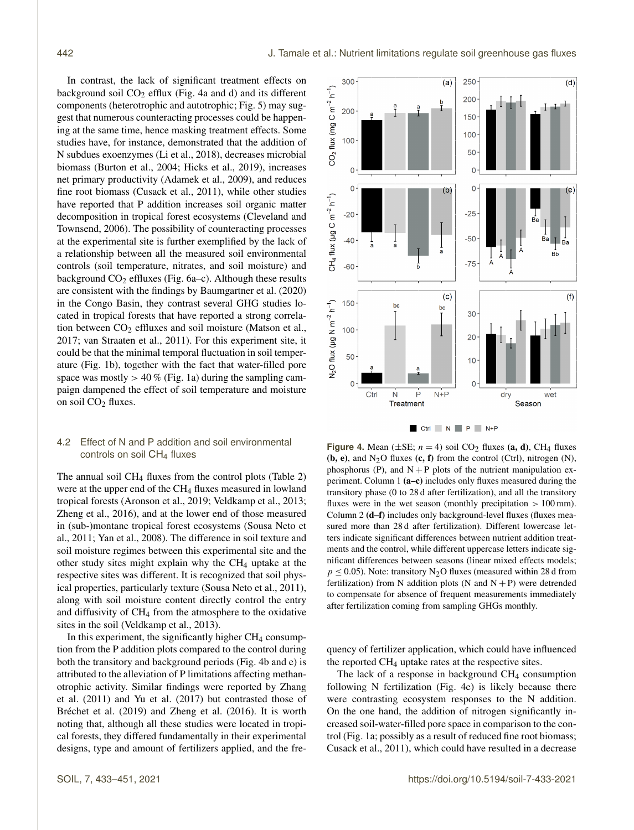In contrast, the lack of significant treatment effects on background soil  $CO<sub>2</sub>$  efflux (Fig. 4a and d) and its different components (heterotrophic and autotrophic; Fig. 5) may suggest that numerous counteracting processes could be happening at the same time, hence masking treatment effects. Some studies have, for instance, demonstrated that the addition of N subdues exoenzymes (Li et al., 2018), decreases microbial biomass (Burton et al., 2004; Hicks et al., 2019), increases net primary productivity (Adamek et al., 2009), and reduces fine root biomass (Cusack et al., 2011), while other studies have reported that P addition increases soil organic matter decomposition in tropical forest ecosystems (Cleveland and Townsend, 2006). The possibility of counteracting processes at the experimental site is further exemplified by the lack of a relationship between all the measured soil environmental controls (soil temperature, nitrates, and soil moisture) and background  $CO<sub>2</sub>$  effluxes (Fig. 6a–c). Although these results are consistent with the findings by Baumgartner et al. (2020) in the Congo Basin, they contrast several GHG studies located in tropical forests that have reported a strong correlation between  $CO<sub>2</sub>$  effluxes and soil moisture (Matson et al., 2017; van Straaten et al., 2011). For this experiment site, it could be that the minimal temporal fluctuation in soil temperature (Fig. 1b), together with the fact that water-filled pore space was mostly  $> 40\%$  (Fig. 1a) during the sampling campaign dampened the effect of soil temperature and moisture on soil CO<sub>2</sub> fluxes.

# 4.2 Effect of N and P addition and soil environmental controls on soil CH<sub>4</sub> fluxes

The annual soil  $CH_4$  fluxes from the control plots (Table 2) were at the upper end of the CH<sub>4</sub> fluxes measured in lowland tropical forests (Aronson et al., 2019; Veldkamp et al., 2013; Zheng et al., 2016), and at the lower end of those measured in (sub-)montane tropical forest ecosystems (Sousa Neto et al., 2011; Yan et al., 2008). The difference in soil texture and soil moisture regimes between this experimental site and the other study sites might explain why the  $CH<sub>4</sub>$  uptake at the respective sites was different. It is recognized that soil physical properties, particularly texture (Sousa Neto et al., 2011), along with soil moisture content directly control the entry and diffusivity of CH<sup>4</sup> from the atmosphere to the oxidative sites in the soil (Veldkamp et al., 2013).

In this experiment, the significantly higher  $CH<sub>4</sub>$  consumption from the P addition plots compared to the control during both the transitory and background periods (Fig. 4b and e) is attributed to the alleviation of P limitations affecting methanotrophic activity. Similar findings were reported by Zhang et al. (2011) and Yu et al. (2017) but contrasted those of Bréchet et al. (2019) and Zheng et al. (2016). It is worth noting that, although all these studies were located in tropical forests, they differed fundamentally in their experimental designs, type and amount of fertilizers applied, and the fre-

CO<sub>2</sub> flux (mg C m<sup>-2</sup> h<sup>-1</sup>) 200 200 150  $100$ 100 50  $\mathsf{C}$  $\Omega$  $\Omega$  $\Omega$  $(b)$  $(e)$ CH<sub>4</sub> flux (µg C m<sup>-2</sup> h<sup>-1</sup>)  $-20$  $-25$ Бa  $-50$  $-40$ .<br>Bb  $-75$  $-60$  $(c)$  $(f)$ N<sub>2</sub>O flux (µg N m<sup>-2</sup> h<sup>-1</sup>) 150 bo bc 30 100  $20$  $50$  $10$  $\epsilon$  $\Omega$ ė  $N+P$ Ctrl -Ń dry wet Treatment Season Ctrl N P N+P

**Figure 4.** Mean  $(\pm SE; n = 4)$  soil CO<sub>2</sub> fluxes (a, d), CH<sub>4</sub> fluxes (b, e), and  $N_2O$  fluxes (c, f) from the control (Ctrl), nitrogen (N), phosphorus (P), and  $N + P$  plots of the nutrient manipulation experiment. Column 1 (a–c) includes only fluxes measured during the transitory phase (0 to 28 d after fertilization), and all the transitory fluxes were in the wet season (monthly precipitation  $> 100 \text{ mm}$ ). Column 2 (d–f) includes only background-level fluxes (fluxes measured more than 28 d after fertilization). Different lowercase letters indicate significant differences between nutrient addition treatments and the control, while different uppercase letters indicate significant differences between seasons (linear mixed effects models;  $p \le 0.05$ ). Note: transitory N<sub>2</sub>O fluxes (measured within 28 d from fertilization) from N addition plots (N and  $N + P$ ) were detrended to compensate for absence of frequent measurements immediately after fertilization coming from sampling GHGs monthly.

quency of fertilizer application, which could have influenced the reported CH<sup>4</sup> uptake rates at the respective sites.

The lack of a response in background  $CH<sub>4</sub>$  consumption following N fertilization (Fig. 4e) is likely because there were contrasting ecosystem responses to the N addition. On the one hand, the addition of nitrogen significantly increased soil-water-filled pore space in comparison to the control (Fig. 1a; possibly as a result of reduced fine root biomass; Cusack et al., 2011), which could have resulted in a decrease

 $\overline{(\mathsf{a})}$ 

250

 $\overline{(d)}$ 

300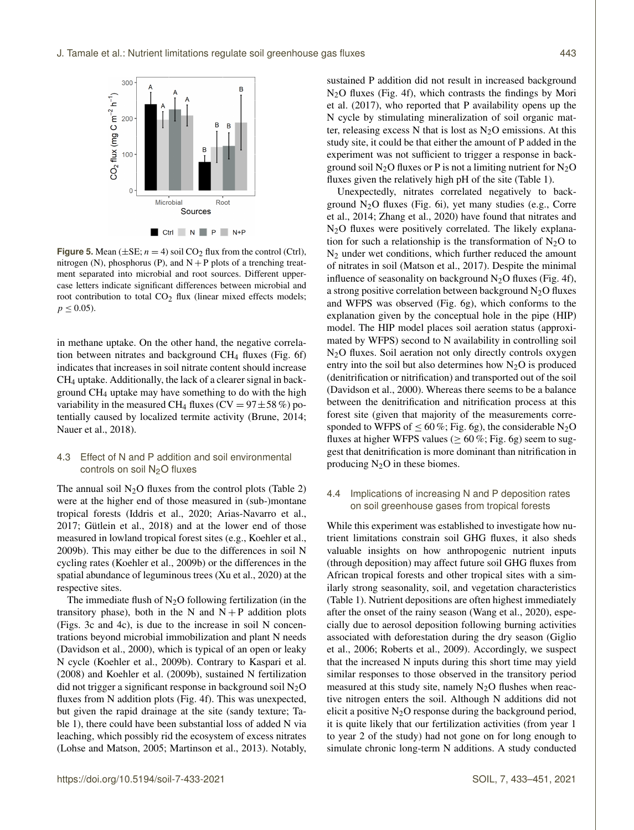

**Figure 5.** Mean ( $\pm$ SE;  $n = 4$ ) soil CO<sub>2</sub> flux from the control (Ctrl), nitrogen (N), phosphorus (P), and  $N + P$  plots of a trenching treatment separated into microbial and root sources. Different uppercase letters indicate significant differences between microbial and root contribution to total CO<sub>2</sub> flux (linear mixed effects models;  $p \leq 0.05$ ).

in methane uptake. On the other hand, the negative correlation between nitrates and background  $CH<sub>4</sub>$  fluxes (Fig. 6f) indicates that increases in soil nitrate content should increase CH<sup>4</sup> uptake. Additionally, the lack of a clearer signal in background CH<sup>4</sup> uptake may have something to do with the high variability in the measured CH<sub>4</sub> fluxes (CV =  $97 \pm 58 \%$ ) potentially caused by localized termite activity (Brune, 2014; Nauer et al., 2018).

# 4.3 Effect of N and P addition and soil environmental controls on soil N<sub>2</sub>O fluxes

The annual soil  $N_2O$  fluxes from the control plots (Table 2) were at the higher end of those measured in (sub-)montane tropical forests (Iddris et al., 2020; Arias-Navarro et al., 2017; Gütlein et al., 2018) and at the lower end of those measured in lowland tropical forest sites (e.g., Koehler et al., 2009b). This may either be due to the differences in soil N cycling rates (Koehler et al., 2009b) or the differences in the spatial abundance of leguminous trees (Xu et al., 2020) at the respective sites.

The immediate flush of  $N<sub>2</sub>O$  following fertilization (in the transitory phase), both in the N and  $N + P$  addition plots (Figs. 3c and 4c), is due to the increase in soil N concentrations beyond microbial immobilization and plant N needs (Davidson et al., 2000), which is typical of an open or leaky N cycle (Koehler et al., 2009b). Contrary to Kaspari et al. (2008) and Koehler et al. (2009b), sustained N fertilization did not trigger a significant response in background soil  $N_2O$ fluxes from N addition plots (Fig. 4f). This was unexpected, but given the rapid drainage at the site (sandy texture; Table 1), there could have been substantial loss of added N via leaching, which possibly rid the ecosystem of excess nitrates (Lohse and Matson, 2005; Martinson et al., 2013). Notably, sustained P addition did not result in increased background N2O fluxes (Fig. 4f), which contrasts the findings by Mori et al. (2017), who reported that P availability opens up the N cycle by stimulating mineralization of soil organic matter, releasing excess N that is lost as  $N_2O$  emissions. At this study site, it could be that either the amount of P added in the experiment was not sufficient to trigger a response in background soil  $N_2O$  fluxes or P is not a limiting nutrient for  $N_2O$ fluxes given the relatively high pH of the site (Table 1).

Unexpectedly, nitrates correlated negatively to background  $N_2O$  fluxes (Fig. 6i), yet many studies (e.g., Corre et al., 2014; Zhang et al., 2020) have found that nitrates and N2O fluxes were positively correlated. The likely explanation for such a relationship is the transformation of  $N_2O$  to N<sup>2</sup> under wet conditions, which further reduced the amount of nitrates in soil (Matson et al., 2017). Despite the minimal influence of seasonality on background  $N_2O$  fluxes (Fig. 4f), a strong positive correlation between background  $N<sub>2</sub>O$  fluxes and WFPS was observed (Fig. 6g), which conforms to the explanation given by the conceptual hole in the pipe (HIP) model. The HIP model places soil aeration status (approximated by WFPS) second to N availability in controlling soil N<sub>2</sub>O fluxes. Soil aeration not only directly controls oxygen entry into the soil but also determines how  $N_2O$  is produced (denitrification or nitrification) and transported out of the soil (Davidson et al., 2000). Whereas there seems to be a balance between the denitrification and nitrification process at this forest site (given that majority of the measurements corresponded to WFPS of  $\leq 60\%$ ; Fig. 6g), the considerable N<sub>2</sub>O fluxes at higher WFPS values ( $\geq 60\%$ ; Fig. 6g) seem to suggest that denitrification is more dominant than nitrification in producing  $N_2O$  in these biomes.

# 4.4 Implications of increasing N and P deposition rates on soil greenhouse gases from tropical forests

While this experiment was established to investigate how nutrient limitations constrain soil GHG fluxes, it also sheds valuable insights on how anthropogenic nutrient inputs (through deposition) may affect future soil GHG fluxes from African tropical forests and other tropical sites with a similarly strong seasonality, soil, and vegetation characteristics (Table 1). Nutrient depositions are often highest immediately after the onset of the rainy season (Wang et al., 2020), especially due to aerosol deposition following burning activities associated with deforestation during the dry season (Giglio et al., 2006; Roberts et al., 2009). Accordingly, we suspect that the increased N inputs during this short time may yield similar responses to those observed in the transitory period measured at this study site, namely  $N_2O$  flushes when reactive nitrogen enters the soil. Although N additions did not elicit a positive  $N_2O$  response during the background period, it is quite likely that our fertilization activities (from year 1 to year 2 of the study) had not gone on for long enough to simulate chronic long-term N additions. A study conducted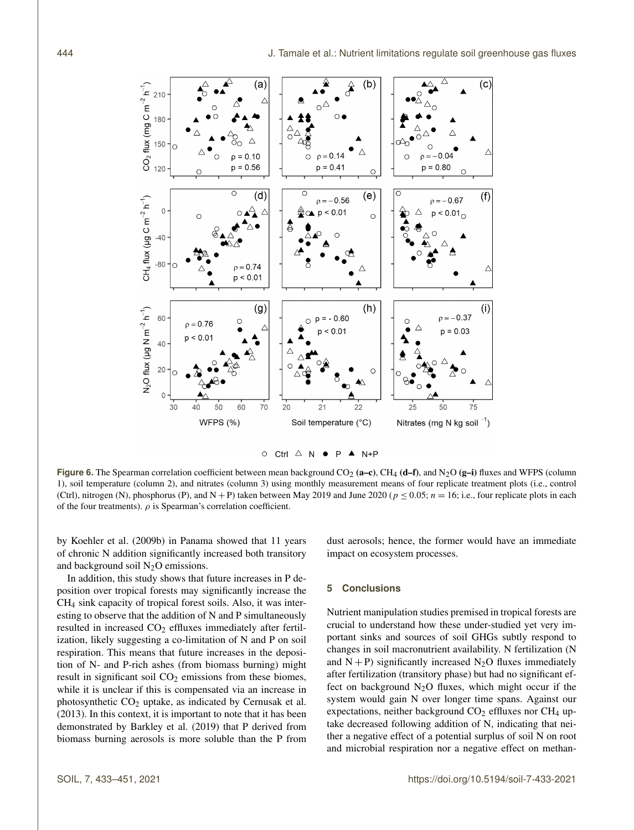

 $\circ$  Ctrl  $\triangle$  N  $\bullet$  P  $\blacktriangle$  N+P

**Figure 6.** The Spearman correlation coefficient between mean background  $CO_2$  (a–c),  $CH_4$  (d–f), and  $N_2O$  (g–i) fluxes and WFPS (column 1), soil temperature (column 2), and nitrates (column 3) using monthly measurement means of four replicate treatment plots (i.e., control (Ctrl), nitrogen (N), phosphorus (P), and N + P) taken between May 2019 and June 2020 ( $p \le 0.05$ ;  $n = 16$ ; i.e., four replicate plots in each of the four treatments).  $\rho$  is Spearman's correlation coefficient.

by Koehler et al. (2009b) in Panama showed that 11 years of chronic N addition significantly increased both transitory and background soil  $N_2O$  emissions.

dust aerosols; hence, the former would have an immediate impact on ecosystem processes.

In addition, this study shows that future increases in P deposition over tropical forests may significantly increase the CH<sup>4</sup> sink capacity of tropical forest soils. Also, it was interesting to observe that the addition of N and P simultaneously resulted in increased  $CO<sub>2</sub>$  effluxes immediately after fertilization, likely suggesting a co-limitation of N and P on soil respiration. This means that future increases in the deposition of N- and P-rich ashes (from biomass burning) might result in significant soil  $CO<sub>2</sub>$  emissions from these biomes, while it is unclear if this is compensated via an increase in photosynthetic  $CO<sub>2</sub>$  uptake, as indicated by Cernusak et al. (2013). In this context, it is important to note that it has been demonstrated by Barkley et al. (2019) that P derived from biomass burning aerosols is more soluble than the P from

# **5 Conclusions**

Nutrient manipulation studies premised in tropical forests are crucial to understand how these under-studied yet very important sinks and sources of soil GHGs subtly respond to changes in soil macronutrient availability. N fertilization (N and  $N + P$ ) significantly increased  $N<sub>2</sub>O$  fluxes immediately after fertilization (transitory phase) but had no significant effect on background  $N_2O$  fluxes, which might occur if the system would gain N over longer time spans. Against our expectations, neither background  $CO<sub>2</sub>$  effluxes nor  $CH<sub>4</sub>$  uptake decreased following addition of N, indicating that neither a negative effect of a potential surplus of soil N on root and microbial respiration nor a negative effect on methan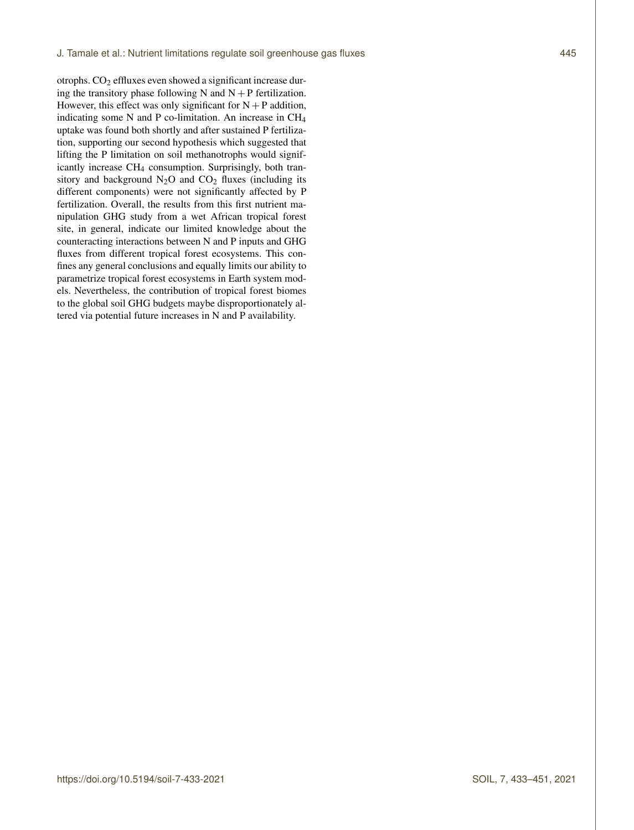otrophs. CO<sub>2</sub> effluxes even showed a significant increase during the transitory phase following N and  $N + P$  fertilization. However, this effect was only significant for  $N + P$  addition, indicating some N and P co-limitation. An increase in CH<sup>4</sup> uptake was found both shortly and after sustained P fertilization, supporting our second hypothesis which suggested that lifting the P limitation on soil methanotrophs would significantly increase CH<sup>4</sup> consumption. Surprisingly, both transitory and background  $N_2O$  and  $CO_2$  fluxes (including its different components) were not significantly affected by P fertilization. Overall, the results from this first nutrient manipulation GHG study from a wet African tropical forest site, in general, indicate our limited knowledge about the counteracting interactions between N and P inputs and GHG fluxes from different tropical forest ecosystems. This confines any general conclusions and equally limits our ability to parametrize tropical forest ecosystems in Earth system models. Nevertheless, the contribution of tropical forest biomes to the global soil GHG budgets maybe disproportionately altered via potential future increases in N and P availability.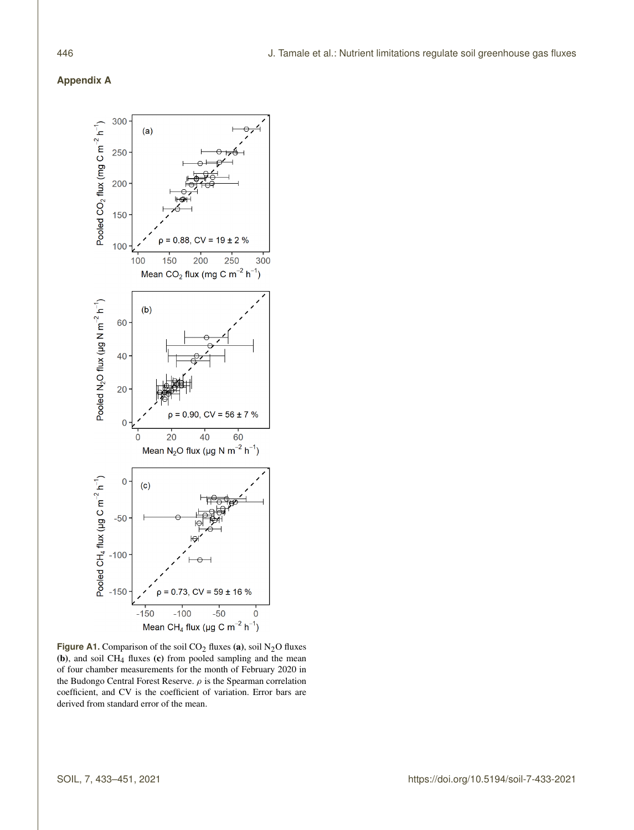# **Appendix A**



**Figure A1.** Comparison of the soil  $CO<sub>2</sub>$  fluxes (a), soil  $N<sub>2</sub>O$  fluxes (b), and soil  $CH_4$  fluxes (c) from pooled sampling and the mean of four chamber measurements for the month of February 2020 in the Budongo Central Forest Reserve.  $\rho$  is the Spearman correlation coefficient, and CV is the coefficient of variation. Error bars are derived from standard error of the mean.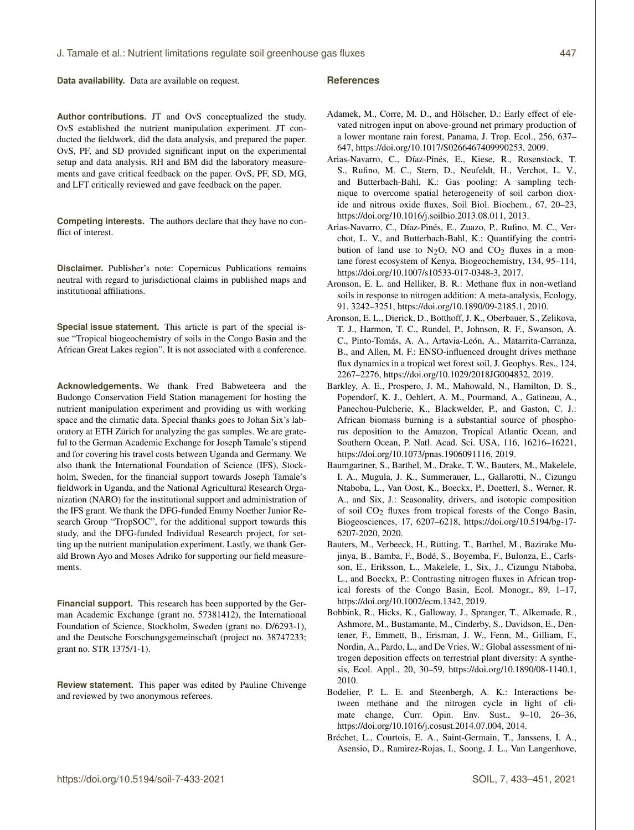**Data availability.** Data are available on request.

**Author contributions.** JT and OvS conceptualized the study. OvS established the nutrient manipulation experiment. JT conducted the fieldwork, did the data analysis, and prepared the paper. OvS, PF, and SD provided significant input on the experimental setup and data analysis. RH and BM did the laboratory measurements and gave critical feedback on the paper. OvS, PF, SD, MG, and LFT critically reviewed and gave feedback on the paper.

**Competing interests.** The authors declare that they have no conflict of interest.

**Disclaimer.** Publisher's note: Copernicus Publications remains neutral with regard to jurisdictional claims in published maps and institutional affiliations.

**Special issue statement.** This article is part of the special issue "Tropical biogeochemistry of soils in the Congo Basin and the African Great Lakes region". It is not associated with a conference.

**Acknowledgements.** We thank Fred Babweteera and the Budongo Conservation Field Station management for hosting the nutrient manipulation experiment and providing us with working space and the climatic data. Special thanks goes to Johan Six's laboratory at ETH Zürich for analyzing the gas samples. We are grateful to the German Academic Exchange for Joseph Tamale's stipend and for covering his travel costs between Uganda and Germany. We also thank the International Foundation of Science (IFS), Stockholm, Sweden, for the financial support towards Joseph Tamale's fieldwork in Uganda, and the National Agricultural Research Organization (NARO) for the institutional support and administration of the IFS grant. We thank the DFG-funded Emmy Noether Junior Research Group "TropSOC", for the additional support towards this study, and the DFG-funded Individual Research project, for setting up the nutrient manipulation experiment. Lastly, we thank Gerald Brown Ayo and Moses Adriko for supporting our field measurements.

**Financial support.** This research has been supported by the German Academic Exchange (grant no. 57381412), the International Foundation of Science, Stockholm, Sweden (grant no. D/6293-1), and the Deutsche Forschungsgemeinschaft (project no. 38747233; grant no. STR 1375/1-1).

**Review statement.** This paper was edited by Pauline Chivenge and reviewed by two anonymous referees.

#### **References**

- Adamek, M., Corre, M. D., and Hölscher, D.: Early effect of elevated nitrogen input on above-ground net primary production of a lower montane rain forest, Panama, J. Trop. Ecol., 256, 637– 647, https://doi.org[/10.1017/S0266467409990253,](https://doi.org/10.1017/S0266467409990253) 2009.
- Arias-Navarro, C., Díaz-Pinés, E., Kiese, R., Rosenstock, T. S., Rufino, M. C., Stern, D., Neufeldt, H., Verchot, L. V., and Butterbach-Bahl, K.: Gas pooling: A sampling technique to overcome spatial heterogeneity of soil carbon dioxide and nitrous oxide fluxes, Soil Biol. Biochem., 67, 20–23, https://doi.org[/10.1016/j.soilbio.2013.08.011,](https://doi.org/10.1016/j.soilbio.2013.08.011) 2013.
- Arias-Navarro, C., Díaz-Pinés, E., Zuazo, P., Rufino, M. C., Verchot, L. V., and Butterbach-Bahl, K.: Quantifying the contribution of land use to  $N_2O$ , NO and  $CO_2$  fluxes in a montane forest ecosystem of Kenya, Biogeochemistry, 134, 95–114, https://doi.org[/10.1007/s10533-017-0348-3,](https://doi.org/10.1007/s10533-017-0348-3) 2017.
- Aronson, E. L. and Helliker, B. R.: Methane flux in non-wetland soils in response to nitrogen addition: A meta-analysis, Ecology, 91, 3242–3251, https://doi.org[/10.1890/09-2185.1,](https://doi.org/10.1890/09-2185.1) 2010.
- Aronson, E. L., Dierick, D., Botthoff, J. K., Oberbauer, S., Zelikova, T. J., Harmon, T. C., Rundel, P., Johnson, R. F., Swanson, A. C., Pinto-Tomás, A. A., Artavia-León, A., Matarrita-Carranza, B., and Allen, M. F.: ENSO-influenced drought drives methane flux dynamics in a tropical wet forest soil, J. Geophys. Res., 124, 2267–2276, https://doi.org[/10.1029/2018JG004832,](https://doi.org/10.1029/2018JG004832) 2019.
- Barkley, A. E., Prospero, J. M., Mahowald, N., Hamilton, D. S., Popendorf, K. J., Oehlert, A. M., Pourmand, A., Gatineau, A., Panechou-Pulcherie, K., Blackwelder, P., and Gaston, C. J.: African biomass burning is a substantial source of phosphorus deposition to the Amazon, Tropical Atlantic Ocean, and Southern Ocean, P. Natl. Acad. Sci. USA, 116, 16216–16221, https://doi.org[/10.1073/pnas.1906091116,](https://doi.org/10.1073/pnas.1906091116) 2019.
- Baumgartner, S., Barthel, M., Drake, T. W., Bauters, M., Makelele, I. A., Mugula, J. K., Summerauer, L., Gallarotti, N., Cizungu Ntaboba, L., Van Oost, K., Boeckx, P., Doetterl, S., Werner, R. A., and Six, J.: Seasonality, drivers, and isotopic composition of soil CO2 fluxes from tropical forests of the Congo Basin, Biogeosciences, 17, 6207–6218, https://doi.org[/10.5194/bg-17-](https://doi.org/10.5194/bg-17-6207-2020) [6207-2020,](https://doi.org/10.5194/bg-17-6207-2020) 2020.
- Bauters, M., Verbeeck, H., Rütting, T., Barthel, M., Bazirake Mujinya, B., Bamba, F., Bodé, S., Boyemba, F., Bulonza, E., Carlsson, E., Eriksson, L., Makelele, I., Six, J., Cizungu Ntaboba, L., and Boeckx, P.: Contrasting nitrogen fluxes in African tropical forests of the Congo Basin, Ecol. Monogr., 89, 1–17, https://doi.org[/10.1002/ecm.1342,](https://doi.org/10.1002/ecm.1342) 2019.
- Bobbink, R., Hicks, K., Galloway, J., Spranger, T., Alkemade, R., Ashmore, M., Bustamante, M., Cinderby, S., Davidson, E., Dentener, F., Emmett, B., Erisman, J. W., Fenn, M., Gilliam, F., Nordin, A., Pardo, L., and De Vries, W.: Global assessment of nitrogen deposition effects on terrestrial plant diversity: A synthesis, Ecol. Appl., 20, 30–59, https://doi.org[/10.1890/08-1140.1,](https://doi.org/10.1890/08-1140.1) 2010.
- Bodelier, P. L. E. and Steenbergh, A. K.: Interactions between methane and the nitrogen cycle in light of climate change, Curr. Opin. Env. Sust., 9–10, 26–36, https://doi.org[/10.1016/j.cosust.2014.07.004,](https://doi.org/10.1016/j.cosust.2014.07.004) 2014.
- Bréchet, L., Courtois, E. A., Saint-Germain, T., Janssens, I. A., Asensio, D., Ramirez-Rojas, I., Soong, J. L., Van Langenhove,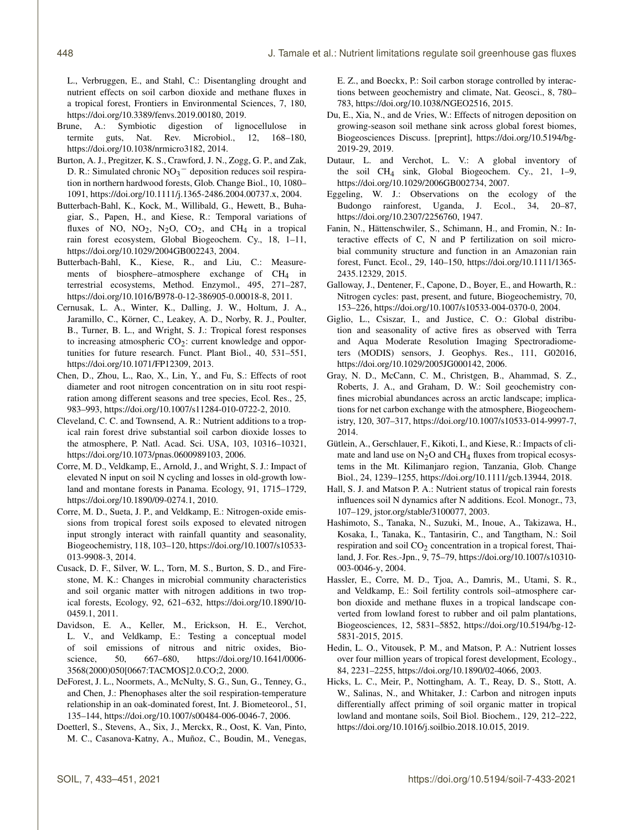L., Verbruggen, E., and Stahl, C.: Disentangling drought and nutrient effects on soil carbon dioxide and methane fluxes in a tropical forest, Frontiers in Environmental Sciences, 7, 180, https://doi.org[/10.3389/fenvs.2019.00180,](https://doi.org/10.3389/fenvs.2019.00180) 2019.

- Brune, A.: Symbiotic digestion of lignocellulose in termite guts, Nat. Rev. Microbiol., 12, 168–180, https://doi.org[/10.1038/nrmicro3182,](https://doi.org/10.1038/nrmicro3182) 2014.
- Burton, A. J., Pregitzer, K. S., Crawford, J. N., Zogg, G. P., and Zak, D. R.: Simulated chronic NO<sub>3</sub><sup>−</sup> deposition reduces soil respiration in northern hardwood forests, Glob. Change Biol., 10, 1080– 1091, https://doi.org[/10.1111/j.1365-2486.2004.00737.x,](https://doi.org/10.1111/j.1365-2486.2004.00737.x) 2004.
- Butterbach-Bahl, K., Kock, M., Willibald, G., Hewett, B., Buhagiar, S., Papen, H., and Kiese, R.: Temporal variations of fluxes of NO,  $NO<sub>2</sub>$ ,  $N<sub>2</sub>O$ ,  $CO<sub>2</sub>$ , and  $CH<sub>4</sub>$  in a tropical rain forest ecosystem, Global Biogeochem. Cy., 18, 1–11, https://doi.org[/10.1029/2004GB002243,](https://doi.org/10.1029/2004GB002243) 2004.
- Butterbach-Bahl, K., Kiese, R., and Liu, C.: Measurements of biosphere–atmosphere exchange of CH<sub>4</sub> in terrestrial ecosystems, Method. Enzymol., 495, 271–287, https://doi.org[/10.1016/B978-0-12-386905-0.00018-8,](https://doi.org/10.1016/B978-0-12-386905-0.00018-8) 2011.
- Cernusak, L. A., Winter, K., Dalling, J. W., Holtum, J. A., Jaramillo, C., Körner, C., Leakey, A. D., Norby, R. J., Poulter, B., Turner, B. L., and Wright, S. J.: Tropical forest responses to increasing atmospheric  $CO<sub>2</sub>$ : current knowledge and opportunities for future research. Funct. Plant Biol., 40, 531–551, https://doi.org[/10.1071/FP12309,](https://doi.org/10.1071/FP12309) 2013.
- Chen, D., Zhou, L., Rao, X., Lin, Y., and Fu, S.: Effects of root diameter and root nitrogen concentration on in situ root respiration among different seasons and tree species, Ecol. Res., 25, 983–993, https://doi.org[/10.1007/s11284-010-0722-2,](https://doi.org/10.1007/s11284-010-0722-2) 2010.
- Cleveland, C. C. and Townsend, A. R.: Nutrient additions to a tropical rain forest drive substantial soil carbon dioxide losses to the atmosphere, P. Natl. Acad. Sci. USA, 103, 10316–10321, https://doi.org[/10.1073/pnas.0600989103,](https://doi.org/10.1073/pnas.0600989103) 2006.
- Corre, M. D., Veldkamp, E., Arnold, J., and Wright, S. J.: Impact of elevated N input on soil N cycling and losses in old-growth lowland and montane forests in Panama. Ecology, 91, 1715–1729, https://doi.org[/10.1890/09-0274.1,](https://doi.org/10.1890/09-0274.1) 2010.
- Corre, M. D., Sueta, J. P., and Veldkamp, E.: Nitrogen-oxide emissions from tropical forest soils exposed to elevated nitrogen input strongly interact with rainfall quantity and seasonality, Biogeochemistry, 118, 103–120, https://doi.org[/10.1007/s10533-](https://doi.org/10.1007/s10533-013-9908-3) [013-9908-3,](https://doi.org/10.1007/s10533-013-9908-3) 2014.
- Cusack, D. F., Silver, W. L., Torn, M. S., Burton, S. D., and Firestone, M. K.: Changes in microbial community characteristics and soil organic matter with nitrogen additions in two tropical forests, Ecology, 92, 621–632, https://doi.org[/10.1890/10-](https://doi.org/10.1890/10-0459.1) [0459.1,](https://doi.org/10.1890/10-0459.1) 2011.
- Davidson, E. A., Keller, M., Erickson, H. E., Verchot, L. V., and Veldkamp, E.: Testing a conceptual model of soil emissions of nitrous and nitric oxides, Bioscience, 50, 667–680, https://doi.org[/10.1641/0006-](https://doi.org/10.1641/0006-3568(2000)050[0667:TACMOS]2.0.CO;2) [3568\(2000\)050\[0667:TACMOS\]2.0.CO;2,](https://doi.org/10.1641/0006-3568(2000)050[0667:TACMOS]2.0.CO;2) 2000.
- DeForest, J. L., Noormets, A., McNulty, S. G., Sun, G., Tenney, G., and Chen, J.: Phenophases alter the soil respiration-temperature relationship in an oak-dominated forest, Int. J. Biometeorol., 51, 135–144, https://doi.org[/10.1007/s00484-006-0046-7,](https://doi.org/10.1007/s00484-006-0046-7) 2006.
- Doetterl, S., Stevens, A., Six, J., Merckx, R., Oost, K. Van, Pinto, M. C., Casanova-Katny, A., Muñoz, C., Boudin, M., Venegas,

E. Z., and Boeckx, P.: Soil carbon storage controlled by interactions between geochemistry and climate, Nat. Geosci., 8, 780– 783, https://doi.org[/10.1038/NGEO2516,](https://doi.org/10.1038/NGEO2516) 2015.

- Du, E., Xia, N., and de Vries, W.: Effects of nitrogen deposition on growing-season soil methane sink across global forest biomes, Biogeosciences Discuss. [preprint], https://doi.org[/10.5194/bg-](https://doi.org/10.5194/bg-2019-29)[2019-29,](https://doi.org/10.5194/bg-2019-29) 2019.
- Dutaur, L. and Verchot, L. V.: A global inventory of the soil CH4 sink, Global Biogeochem. Cy., 21, 1–9, https://doi.org[/10.1029/2006GB002734,](https://doi.org/10.1029/2006GB002734) 2007.
- Eggeling, W. J.: Observations on the ecology of the Budongo rainforest, Uganda, J. Ecol., 34, 20–87, https://doi.org[/10.2307/2256760,](https://doi.org/10.2307/2256760) 1947.
- Fanin, N., Hättenschwiler, S., Schimann, H., and Fromin, N.: Interactive effects of C, N and P fertilization on soil microbial community structure and function in an Amazonian rain forest, Funct. Ecol., 29, 140–150, https://doi.org[/10.1111/1365-](https://doi.org/10.1111/1365-2435.12329) [2435.12329,](https://doi.org/10.1111/1365-2435.12329) 2015.
- Galloway, J., Dentener, F., Capone, D., Boyer, E., and Howarth, R.: Nitrogen cycles: past, present, and future, Biogeochemistry, 70, 153–226, https://doi.org[/10.1007/s10533-004-0370-0,](https://doi.org/10.1007/s10533-004-0370-0) 2004.
- Giglio, L., Csiszar, I., and Justice, C. O.: Global distribution and seasonality of active fires as observed with Terra and Aqua Moderate Resolution Imaging Spectroradiometers (MODIS) sensors, J. Geophys. Res., 111, G02016, https://doi.org[/10.1029/2005JG000142,](https://doi.org/10.1029/2005JG000142) 2006.
- Gray, N. D., McCann, C. M., Christgen, B., Ahammad, S. Z., Roberts, J. A., and Graham, D. W.: Soil geochemistry confines microbial abundances across an arctic landscape; implications for net carbon exchange with the atmosphere, Biogeochemistry, 120, 307–317, https://doi.org[/10.1007/s10533-014-9997-7,](https://doi.org/10.1007/s10533-014-9997-7) 2014.
- Gütlein, A., Gerschlauer, F., Kikoti, I., and Kiese, R.: Impacts of climate and land use on  $N_2O$  and CH<sub>4</sub> fluxes from tropical ecosystems in the Mt. Kilimanjaro region, Tanzania, Glob. Change Biol., 24, 1239–1255, https://doi.org[/10.1111/gcb.13944,](https://doi.org/10.1111/gcb.13944) 2018.
- Hall, S. J. and Matson P. A.: Nutrient status of tropical rain forests influences soil N dynamics after N additions. Ecol. Monogr., 73, 107–129, jstor.org/stable/3100077, 2003.
- Hashimoto, S., Tanaka, N., Suzuki, M., Inoue, A., Takizawa, H., Kosaka, I., Tanaka, K., Tantasirin, C., and Tangtham, N.: Soil respiration and soil  $CO<sub>2</sub>$  concentration in a tropical forest, Thailand, J. For. Res.-Jpn., 9, 75–79, https://doi.org[/10.1007/s10310-](https://doi.org/10.1007/s10310-003-0046-y) [003-0046-y,](https://doi.org/10.1007/s10310-003-0046-y) 2004.
- Hassler, E., Corre, M. D., Tjoa, A., Damris, M., Utami, S. R., and Veldkamp, E.: Soil fertility controls soil–atmosphere carbon dioxide and methane fluxes in a tropical landscape converted from lowland forest to rubber and oil palm plantations, Biogeosciences, 12, 5831–5852, https://doi.org[/10.5194/bg-12-](https://doi.org/10.5194/bg-12-5831-2015) [5831-2015,](https://doi.org/10.5194/bg-12-5831-2015) 2015.
- Hedin, L. O., Vitousek, P. M., and Matson, P. A.: Nutrient losses over four million years of tropical forest development, Ecology., 84, 2231–2255, https://doi.org[/10.1890/02-4066,](https://doi.org/10.1890/02-4066) 2003.
- Hicks, L. C., Meir, P., Nottingham, A. T., Reay, D. S., Stott, A. W., Salinas, N., and Whitaker, J.: Carbon and nitrogen inputs differentially affect priming of soil organic matter in tropical lowland and montane soils, Soil Biol. Biochem., 129, 212–222, https://doi.org[/10.1016/j.soilbio.2018.10.015,](https://doi.org/10.1016/j.soilbio.2018.10.015) 2019.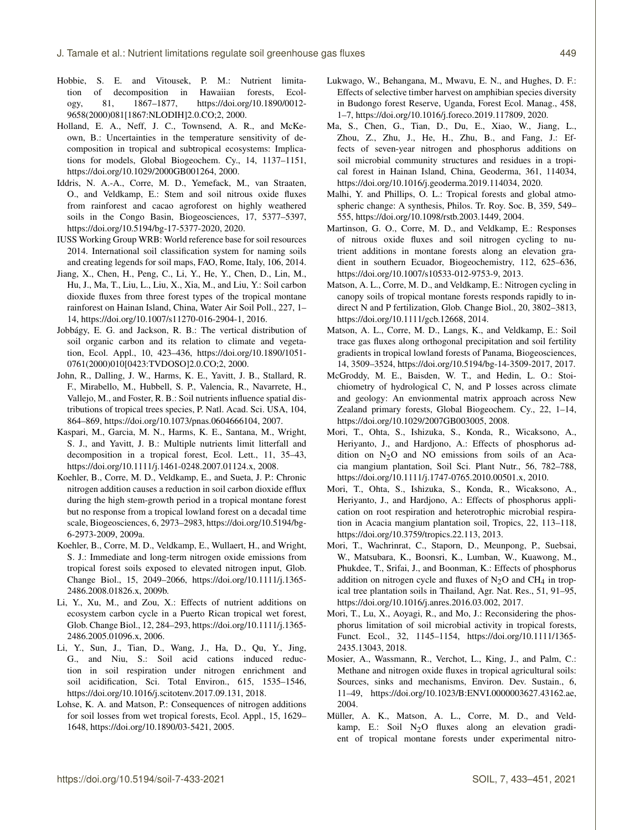- Hobbie, S. E. and Vitousek, P. M.: Nutrient limitation of decomposition in Hawaiian forests, Ecology, 81, 1867–1877, https://doi.org[/10.1890/0012-](https://doi.org/10.1890/0012-9658(2000)081[1867:NLODIH]2.0.CO;2) [9658\(2000\)081\[1867:NLODIH\]2.0.CO;2,](https://doi.org/10.1890/0012-9658(2000)081[1867:NLODIH]2.0.CO;2) 2000.
- Holland, E. A., Neff, J. C., Townsend, A. R., and McKeown, B.: Uncertainties in the temperature sensitivity of decomposition in tropical and subtropical ecosystems: Implications for models, Global Biogeochem. Cy., 14, 1137–1151, https://doi.org[/10.1029/2000GB001264,](https://doi.org/10.1029/2000GB001264) 2000.
- Iddris, N. A.-A., Corre, M. D., Yemefack, M., van Straaten, O., and Veldkamp, E.: Stem and soil nitrous oxide fluxes from rainforest and cacao agroforest on highly weathered soils in the Congo Basin, Biogeosciences, 17, 5377–5397, https://doi.org[/10.5194/bg-17-5377-2020,](https://doi.org/10.5194/bg-17-5377-2020) 2020.
- IUSS Working Group WRB: World reference base for soil resources 2014. International soil classification system for naming soils and creating legends for soil maps, FAO, Rome, Italy, 106, 2014.
- Jiang, X., Chen, H., Peng, C., Li, Y., He, Y., Chen, D., Lin, M., Hu, J., Ma, T., Liu, L., Liu, X., Xia, M., and Liu, Y.: Soil carbon dioxide fluxes from three forest types of the tropical montane rainforest on Hainan Island, China, Water Air Soil Poll., 227, 1– 14, https://doi.org[/10.1007/s11270-016-2904-1,](https://doi.org/10.1007/s11270-016-2904-1) 2016.
- Jobbágy, E. G. and Jackson, R. B.: The vertical distribution of soil organic carbon and its relation to climate and vegetation, Ecol. Appl., 10, 423–436, https://doi.org[/10.1890/1051-](https://doi.org/10.1890/1051-0761(2000)010[0423:TVDOSO]2.0.CO;2) [0761\(2000\)010\[0423:TVDOSO\]2.0.CO;2,](https://doi.org/10.1890/1051-0761(2000)010[0423:TVDOSO]2.0.CO;2) 2000.
- John, R., Dalling, J. W., Harms, K. E., Yavitt, J. B., Stallard, R. F., Mirabello, M., Hubbell, S. P., Valencia, R., Navarrete, H., Vallejo, M., and Foster, R. B.: Soil nutrients influence spatial distributions of tropical trees species, P. Natl. Acad. Sci. USA, 104, 864–869, https://doi.org[/10.1073/pnas.0604666104,](https://doi.org/10.1073/pnas.0604666104) 2007.
- Kaspari, M., Garcia, M. N., Harms, K. E., Santana, M., Wright, S. J., and Yavitt, J. B.: Multiple nutrients limit litterfall and decomposition in a tropical forest, Ecol. Lett., 11, 35–43, https://doi.org[/10.1111/j.1461-0248.2007.01124.x,](https://doi.org/10.1111/j.1461-0248.2007.01124.x) 2008.
- Koehler, B., Corre, M. D., Veldkamp, E., and Sueta, J. P.: Chronic nitrogen addition causes a reduction in soil carbon dioxide efflux during the high stem-growth period in a tropical montane forest but no response from a tropical lowland forest on a decadal time scale, Biogeosciences, 6, 2973–2983, https://doi.org[/10.5194/bg-](https://doi.org/10.5194/bg-6-2973-2009)[6-2973-2009,](https://doi.org/10.5194/bg-6-2973-2009) 2009a.
- Koehler, B., Corre, M. D., Veldkamp, E., Wullaert, H., and Wright, S. J.: Immediate and long-term nitrogen oxide emissions from tropical forest soils exposed to elevated nitrogen input, Glob. Change Biol., 15, 2049–2066, https://doi.org[/10.1111/j.1365-](https://doi.org/10.1111/j.1365-2486.2008.01826.x) [2486.2008.01826.x,](https://doi.org/10.1111/j.1365-2486.2008.01826.x) 2009b.
- Li, Y., Xu, M., and Zou, X.: Effects of nutrient additions on ecosystem carbon cycle in a Puerto Rican tropical wet forest, Glob. Change Biol., 12, 284–293, https://doi.org[/10.1111/j.1365-](https://doi.org/10.1111/j.1365-2486.2005.01096.x) [2486.2005.01096.x,](https://doi.org/10.1111/j.1365-2486.2005.01096.x) 2006.
- Li, Y., Sun, J., Tian, D., Wang, J., Ha, D., Qu, Y., Jing, G., and Niu, S.: Soil acid cations induced reduction in soil respiration under nitrogen enrichment and soil acidification, Sci. Total Environ., 615, 1535–1546, https://doi.org[/10.1016/j.scitotenv.2017.09.131,](https://doi.org/10.1016/j.scitotenv.2017.09.131) 2018.
- Lohse, K. A. and Matson, P.: Consequences of nitrogen additions for soil losses from wet tropical forests, Ecol. Appl., 15, 1629– 1648, https://doi.org[/10.1890/03-5421,](https://doi.org/10.1890/03-5421) 2005.
- Lukwago, W., Behangana, M., Mwavu, E. N., and Hughes, D. F.: Effects of selective timber harvest on amphibian species diversity in Budongo forest Reserve, Uganda, Forest Ecol. Manag., 458, 1–7, https://doi.org[/10.1016/j.foreco.2019.117809,](https://doi.org/10.1016/j.foreco.2019.117809) 2020.
- Ma, S., Chen, G., Tian, D., Du, E., Xiao, W., Jiang, L., Zhou, Z., Zhu, J., He, H., Zhu, B., and Fang, J.: Effects of seven-year nitrogen and phosphorus additions on soil microbial community structures and residues in a tropical forest in Hainan Island, China, Geoderma, 361, 114034, https://doi.org[/10.1016/j.geoderma.2019.114034,](https://doi.org/10.1016/j.geoderma.2019.114034) 2020.
- Malhi, Y. and Phillips, O. L.: Tropical forests and global atmospheric change: A synthesis, Philos. Tr. Roy. Soc. B, 359, 549– 555, https://doi.org[/10.1098/rstb.2003.1449,](https://doi.org/10.1098/rstb.2003.1449) 2004.
- Martinson, G. O., Corre, M. D., and Veldkamp, E.: Responses of nitrous oxide fluxes and soil nitrogen cycling to nutrient additions in montane forests along an elevation gradient in southern Ecuador, Biogeochemistry, 112, 625–636, https://doi.org[/10.1007/s10533-012-9753-9,](https://doi.org/10.1007/s10533-012-9753-9) 2013.
- Matson, A. L., Corre, M. D., and Veldkamp, E.: Nitrogen cycling in canopy soils of tropical montane forests responds rapidly to indirect N and P fertilization, Glob. Change Biol., 20, 3802–3813, https://doi.org[/10.1111/gcb.12668,](https://doi.org/10.1111/gcb.12668) 2014.
- Matson, A. L., Corre, M. D., Langs, K., and Veldkamp, E.: Soil trace gas fluxes along orthogonal precipitation and soil fertility gradients in tropical lowland forests of Panama, Biogeosciences, 14, 3509–3524, https://doi.org[/10.5194/bg-14-3509-2017,](https://doi.org/10.5194/bg-14-3509-2017) 2017.
- McGroddy, M. E., Baisden, W. T., and Hedin, L. O.: Stoichiometry of hydrological C, N, and P losses across climate and geology: An envionmental matrix approach across New Zealand primary forests, Global Biogeochem. Cy., 22, 1–14, https://doi.org[/10.1029/2007GB003005,](https://doi.org/10.1029/2007GB003005) 2008.
- Mori, T., Ohta, S., Ishizuka, S., Konda, R., Wicaksono, A., Heriyanto, J., and Hardjono, A.: Effects of phosphorus addition on  $N_2O$  and NO emissions from soils of an Acacia mangium plantation, Soil Sci. Plant Nutr., 56, 782–788, https://doi.org[/10.1111/j.1747-0765.2010.00501.x,](https://doi.org/10.1111/j.1747-0765.2010.00501.x) 2010.
- Mori, T., Ohta, S., Ishizuka, S., Konda, R., Wicaksono, A., Heriyanto, J., and Hardjono, A.: Effects of phosphorus application on root respiration and heterotrophic microbial respiration in Acacia mangium plantation soil, Tropics, 22, 113–118, https://doi.org[/10.3759/tropics.22.113,](https://doi.org/10.3759/tropics.22.113) 2013.
- Mori, T., Wachrinrat, C., Staporn, D., Meunpong, P., Suebsai, W., Matsubara, K., Boonsri, K., Lumban, W., Kuawong, M., Phukdee, T., Srifai, J., and Boonman, K.: Effects of phosphorus addition on nitrogen cycle and fluxes of  $N<sub>2</sub>O$  and CH<sub>4</sub> in tropical tree plantation soils in Thailand, Agr. Nat. Res., 51, 91–95, https://doi.org[/10.1016/j.anres.2016.03.002,](https://doi.org/10.1016/j.anres.2016.03.002) 2017.
- Mori, T., Lu, X., Aoyagi, R., and Mo, J.: Reconsidering the phosphorus limitation of soil microbial activity in tropical forests, Funct. Ecol., 32, 1145–1154, https://doi.org[/10.1111/1365-](https://doi.org/10.1111/1365-2435.13043) [2435.13043,](https://doi.org/10.1111/1365-2435.13043) 2018.
- Mosier, A., Wassmann, R., Verchot, L., King, J., and Palm, C.: Methane and nitrogen oxide fluxes in tropical agricultural soils: Sources, sinks and mechanisms, Environ. Dev. Sustain., 6, 11–49, https://doi.org[/10.1023/B:ENVI.0000003627.43162.ae,](https://doi.org/10.1023/B:ENVI.0000003627.43162.ae) 2004.
- Müller, A. K., Matson, A. L., Corre, M. D., and Veldkamp, E.: Soil  $N<sub>2</sub>O$  fluxes along an elevation gradient of tropical montane forests under experimental nitro-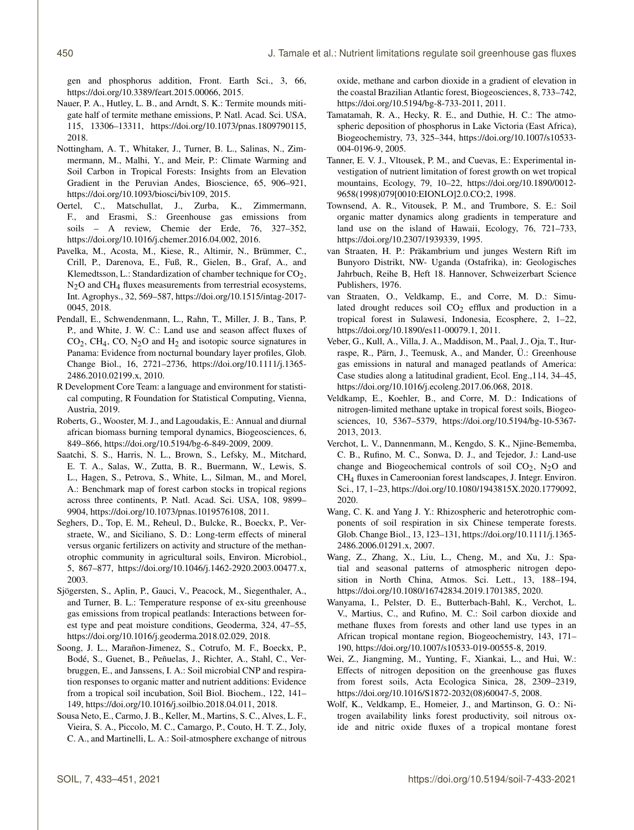gen and phosphorus addition, Front. Earth Sci., 3, 66, https://doi.org[/10.3389/feart.2015.00066,](https://doi.org/10.3389/feart.2015.00066) 2015.

- Nauer, P. A., Hutley, L. B., and Arndt, S. K.: Termite mounds mitigate half of termite methane emissions, P. Natl. Acad. Sci. USA, 115, 13306–13311, https://doi.org[/10.1073/pnas.1809790115,](https://doi.org/10.1073/pnas.1809790115) 2018.
- Nottingham, A. T., Whitaker, J., Turner, B. L., Salinas, N., Zimmermann, M., Malhi, Y., and Meir, P.: Climate Warming and Soil Carbon in Tropical Forests: Insights from an Elevation Gradient in the Peruvian Andes, Bioscience, 65, 906–921, https://doi.org[/10.1093/biosci/biv109,](https://doi.org/10.1093/biosci/biv109) 2015.
- Oertel, C., Matschullat, J., Zurba, K., Zimmermann, F., and Erasmi, S.: Greenhouse gas emissions from soils – A review, Chemie der Erde, 76, 327–352, https://doi.org[/10.1016/j.chemer.2016.04.002,](https://doi.org/10.1016/j.chemer.2016.04.002) 2016.
- Pavelka, M., Acosta, M., Kiese, R., Altimir, N., Brümmer, C., Crill, P., Darenova, E., Fuß, R., Gielen, B., Graf, A., and Klemedtsson, L.: Standardization of chamber technique for  $CO<sub>2</sub>$ ,  $N<sub>2</sub>O$  and CH<sub>4</sub> fluxes measurements from terrestrial ecosystems, Int. Agrophys., 32, 569–587, https://doi.org[/10.1515/intag-2017-](https://doi.org/10.1515/intag-2017-0045) [0045,](https://doi.org/10.1515/intag-2017-0045) 2018.
- Pendall, E., Schwendenmann, L., Rahn, T., Miller, J. B., Tans, P. P., and White, J. W. C.: Land use and season affect fluxes of  $CO<sub>2</sub>$ , CH<sub>4</sub>, CO, N<sub>2</sub>O and H<sub>2</sub> and isotopic source signatures in Panama: Evidence from nocturnal boundary layer profiles, Glob. Change Biol., 16, 2721–2736, https://doi.org[/10.1111/j.1365-](https://doi.org/10.1111/j.1365-2486.2010.02199.x) [2486.2010.02199.x,](https://doi.org/10.1111/j.1365-2486.2010.02199.x) 2010.
- R Development Core Team: a language and environment for statistical computing, R Foundation for Statistical Computing, Vienna, Austria, 2019.
- Roberts, G., Wooster, M. J., and Lagoudakis, E.: Annual and diurnal african biomass burning temporal dynamics, Biogeosciences, 6, 849–866, https://doi.org[/10.5194/bg-6-849-2009,](https://doi.org/10.5194/bg-6-849-2009) 2009.
- Saatchi, S. S., Harris, N. L., Brown, S., Lefsky, M., Mitchard, E. T. A., Salas, W., Zutta, B. R., Buermann, W., Lewis, S. L., Hagen, S., Petrova, S., White, L., Silman, M., and Morel, A.: Benchmark map of forest carbon stocks in tropical regions across three continents, P. Natl. Acad. Sci. USA, 108, 9899– 9904, https://doi.org[/10.1073/pnas.1019576108,](https://doi.org/10.1073/pnas.1019576108) 2011.
- Seghers, D., Top, E. M., Reheul, D., Bulcke, R., Boeckx, P., Verstraete, W., and Siciliano, S. D.: Long-term effects of mineral versus organic fertilizers on activity and structure of the methanotrophic community in agricultural soils, Environ. Microbiol., 5, 867–877, https://doi.org[/10.1046/j.1462-2920.2003.00477.x,](https://doi.org/10.1046/j.1462-2920.2003.00477.x) 2003.
- Sjögersten, S., Aplin, P., Gauci, V., Peacock, M., Siegenthaler, A., and Turner, B. L.: Temperature response of ex-situ greenhouse gas emissions from tropical peatlands: Interactions between forest type and peat moisture conditions, Geoderma, 324, 47–55, https://doi.org[/10.1016/j.geoderma.2018.02.029,](https://doi.org/10.1016/j.geoderma.2018.02.029) 2018.
- Soong, J. L., Marañon-Jimenez, S., Cotrufo, M. F., Boeckx, P., Bodé, S., Guenet, B., Peñuelas, J., Richter, A., Stahl, C., Verbruggen, E., and Janssens, I. A.: Soil microbial CNP and respiration responses to organic matter and nutrient additions: Evidence from a tropical soil incubation, Soil Biol. Biochem., 122, 141– 149, https://doi.org[/10.1016/j.soilbio.2018.04.011,](https://doi.org/10.1016/j.soilbio.2018.04.011) 2018.
- Sousa Neto, E., Carmo, J. B., Keller, M., Martins, S. C., Alves, L. F., Vieira, S. A., Piccolo, M. C., Camargo, P., Couto, H. T. Z., Joly, C. A., and Martinelli, L. A.: Soil-atmosphere exchange of nitrous

oxide, methane and carbon dioxide in a gradient of elevation in the coastal Brazilian Atlantic forest, Biogeosciences, 8, 733–742, https://doi.org[/10.5194/bg-8-733-2011,](https://doi.org/10.5194/bg-8-733-2011) 2011.

- Tamatamah, R. A., Hecky, R. E., and Duthie, H. C.: The atmospheric deposition of phosphorus in Lake Victoria (East Africa), Biogeochemistry, 73, 325–344, https://doi.org[/10.1007/s10533-](https://doi.org/10.1007/s10533-004-0196-9) [004-0196-9,](https://doi.org/10.1007/s10533-004-0196-9) 2005.
- Tanner, E. V. J., Vltousek, P. M., and Cuevas, E.: Experimental investigation of nutrient limitation of forest growth on wet tropical mountains, Ecology, 79, 10–22, https://doi.org[/10.1890/0012-](https://doi.org/10.1890/0012-9658(1998)079[0010:EIONLO]2.0.CO;2) [9658\(1998\)079\[0010:EIONLO\]2.0.CO;2,](https://doi.org/10.1890/0012-9658(1998)079[0010:EIONLO]2.0.CO;2) 1998.
- Townsend, A. R., Vitousek, P. M., and Trumbore, S. E.: Soil organic matter dynamics along gradients in temperature and land use on the island of Hawaii, Ecology, 76, 721–733, https://doi.org[/10.2307/1939339,](https://doi.org/10.2307/1939339) 1995.
- van Straaten, H. P.: Präkambrium und junges Western Rift im Bunyoro Distrikt, NW- Uganda (Ostafrika), in: Geologisches Jahrbuch, Reihe B, Heft 18. Hannover, Schweizerbart Science Publishers, 1976.
- van Straaten, O., Veldkamp, E., and Corre, M. D.: Simulated drought reduces soil  $CO<sub>2</sub>$  efflux and production in a tropical forest in Sulawesi, Indonesia, Ecosphere, 2, 1–22, https://doi.org[/10.1890/es11-00079.1,](https://doi.org/10.1890/es11-00079.1) 2011.
- Veber, G., Kull, A., Villa, J. A., Maddison, M., Paal, J., Oja, T., Iturraspe, R., Pärn, J., Teemusk, A., and Mander, Ü.: Greenhouse gas emissions in natural and managed peatlands of America: Case studies along a latitudinal gradient, Ecol. Eng.,114, 34–45, https://doi.org[/10.1016/j.ecoleng.2017.06.068,](https://doi.org/10.1016/j.ecoleng.2017.06.068) 2018.
- Veldkamp, E., Koehler, B., and Corre, M. D.: Indications of nitrogen-limited methane uptake in tropical forest soils, Biogeosciences, 10, 5367–5379, https://doi.org[/10.5194/bg-10-5367-](https://doi.org/10.5194/bg-10-5367-2013) [2013,](https://doi.org/10.5194/bg-10-5367-2013) 2013.
- Verchot, L. V., Dannenmann, M., Kengdo, S. K., Njine-Bememba, C. B., Rufino, M. C., Sonwa, D. J., and Tejedor, J.: Land-use change and Biogeochemical controls of soil  $CO<sub>2</sub>$ , N<sub>2</sub>O and CH4 fluxes in Cameroonian forest landscapes, J. Integr. Environ. Sci., 17, 1–23, https://doi.org[/10.1080/1943815X.2020.1779092,](https://doi.org/10.1080/1943815X.2020.1779092) 2020.
- Wang, C. K. and Yang J. Y.: Rhizospheric and heterotrophic components of soil respiration in six Chinese temperate forests. Glob. Change Biol., 13, 123–131, https://doi.org[/10.1111/j.1365-](https://doi.org/10.1111/j.1365-2486.2006.01291.x) [2486.2006.01291.x,](https://doi.org/10.1111/j.1365-2486.2006.01291.x) 2007.
- Wang, Z., Zhang, X., Liu, L., Cheng, M., and Xu, J.: Spatial and seasonal patterns of atmospheric nitrogen deposition in North China, Atmos. Sci. Lett., 13, 188–194, https://doi.org[/10.1080/16742834.2019.1701385,](https://doi.org/10.1080/16742834.2019.1701385) 2020.
- Wanyama, I., Pelster, D. E., Butterbach-Bahl, K., Verchot, L. V., Martius, C., and Rufino, M. C.: Soil carbon dioxide and methane fluxes from forests and other land use types in an African tropical montane region, Biogeochemistry, 143, 171– 190, https://doi.org[/10.1007/s10533-019-00555-8,](https://doi.org/10.1007/s10533-019-00555-8) 2019.
- Wei, Z., Jiangming, M., Yunting, F., Xiankai, L., and Hui, W.: Effects of nitrogen deposition on the greenhouse gas fluxes from forest soils, Acta Ecologica Sinica, 28, 2309–2319, https://doi.org[/10.1016/S1872-2032\(08\)60047-5,](https://doi.org/10.1016/S1872-2032(08)60047-5) 2008.
- Wolf, K., Veldkamp, E., Homeier, J., and Martinson, G. O.: Nitrogen availability links forest productivity, soil nitrous oxide and nitric oxide fluxes of a tropical montane forest